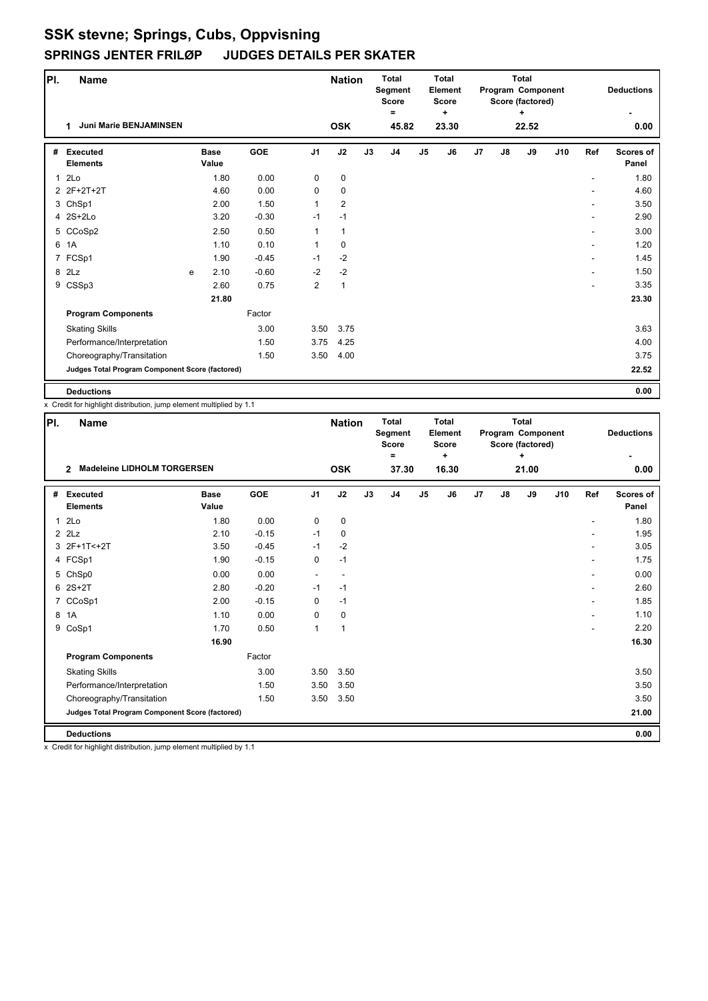| PI.          | <b>Name</b>                                     |   |                      |         |                | <b>Nation</b>  |    | <b>Total</b><br>Segment<br><b>Score</b> |                | <b>Total</b><br>Element<br><b>Score</b> |    | Program Component | <b>Total</b><br>Score (factored) |     |     | <b>Deductions</b>         |
|--------------|-------------------------------------------------|---|----------------------|---------|----------------|----------------|----|-----------------------------------------|----------------|-----------------------------------------|----|-------------------|----------------------------------|-----|-----|---------------------------|
|              | <b>Juni Marie BENJAMINSEN</b><br>1              |   |                      |         |                | <b>OSK</b>     |    | =<br>45.82                              |                | ÷<br>23.30                              |    |                   | $\ddot{}$<br>22.52               |     |     | 0.00                      |
|              |                                                 |   |                      |         |                |                |    |                                         |                |                                         |    |                   |                                  |     |     |                           |
| #            | <b>Executed</b><br><b>Elements</b>              |   | <b>Base</b><br>Value | GOE     | J <sub>1</sub> | J2             | J3 | J <sub>4</sub>                          | J <sub>5</sub> | J6                                      | J7 | J8                | J9                               | J10 | Ref | <b>Scores of</b><br>Panel |
| $\mathbf{1}$ | 2 <sub>LO</sub>                                 |   | 1.80                 | 0.00    | 0              | $\mathbf 0$    |    |                                         |                |                                         |    |                   |                                  |     |     | 1.80                      |
|              | 2 2F+2T+2T                                      |   | 4.60                 | 0.00    | $\mathbf 0$    | $\mathbf 0$    |    |                                         |                |                                         |    |                   |                                  |     |     | 4.60                      |
|              | 3 ChSp1                                         |   | 2.00                 | 1.50    | $\mathbf{1}$   | $\overline{2}$ |    |                                         |                |                                         |    |                   |                                  |     |     | 3.50                      |
|              | 4 2S+2Lo                                        |   | 3.20                 | $-0.30$ | $-1$           | $-1$           |    |                                         |                |                                         |    |                   |                                  |     |     | 2.90                      |
|              | 5 CCoSp2                                        |   | 2.50                 | 0.50    | 1              | 1              |    |                                         |                |                                         |    |                   |                                  |     | ۰   | 3.00                      |
| 6            | 1A                                              |   | 1.10                 | 0.10    | 1              | $\mathbf 0$    |    |                                         |                |                                         |    |                   |                                  |     |     | 1.20                      |
|              | 7 FCSp1                                         |   | 1.90                 | $-0.45$ | $-1$           | $-2$           |    |                                         |                |                                         |    |                   |                                  |     |     | 1.45                      |
|              | 8 2Lz                                           | e | 2.10                 | $-0.60$ | $-2$           | $-2$           |    |                                         |                |                                         |    |                   |                                  |     |     | 1.50                      |
|              | 9 CSSp3                                         |   | 2.60                 | 0.75    | 2              | $\mathbf{1}$   |    |                                         |                |                                         |    |                   |                                  |     |     | 3.35                      |
|              |                                                 |   | 21.80                |         |                |                |    |                                         |                |                                         |    |                   |                                  |     |     | 23.30                     |
|              | <b>Program Components</b>                       |   |                      | Factor  |                |                |    |                                         |                |                                         |    |                   |                                  |     |     |                           |
|              | <b>Skating Skills</b>                           |   |                      | 3.00    | 3.50           | 3.75           |    |                                         |                |                                         |    |                   |                                  |     |     | 3.63                      |
|              | Performance/Interpretation                      |   |                      | 1.50    | 3.75           | 4.25           |    |                                         |                |                                         |    |                   |                                  |     |     | 4.00                      |
|              | Choreography/Transitation                       |   |                      | 1.50    | 3.50           | 4.00           |    |                                         |                |                                         |    |                   |                                  |     |     | 3.75                      |
|              | Judges Total Program Component Score (factored) |   |                      |         |                |                |    |                                         |                |                                         |    |                   |                                  |     |     | 22.52                     |
|              | <b>Deductions</b>                               |   |                      |         |                |                |    |                                         |                |                                         |    |                   |                                  |     |     | 0.00                      |

x Credit for highlight distribution, jump element multiplied by 1.1

| PI. | <b>Name</b>                                          |                      |            |                          | <b>Nation</b>            |    | <b>Total</b><br>Segment<br><b>Score</b><br>Ξ |                | <b>Total</b><br>Element<br><b>Score</b><br>٠ |    |               | <b>Total</b><br>Program Component<br>Score (factored)<br>٠ |     |     | <b>Deductions</b>         |
|-----|------------------------------------------------------|----------------------|------------|--------------------------|--------------------------|----|----------------------------------------------|----------------|----------------------------------------------|----|---------------|------------------------------------------------------------|-----|-----|---------------------------|
|     | <b>Madeleine LIDHOLM TORGERSEN</b><br>$\overline{2}$ |                      |            |                          | <b>OSK</b>               |    | 37.30                                        |                | 16.30                                        |    |               | 21.00                                                      |     |     | 0.00                      |
| #   | <b>Executed</b><br><b>Elements</b>                   | <b>Base</b><br>Value | <b>GOE</b> | J <sub>1</sub>           | J2                       | J3 | J <sub>4</sub>                               | J <sub>5</sub> | J6                                           | J7 | $\mathsf{J}8$ | J9                                                         | J10 | Ref | <b>Scores of</b><br>Panel |
| 1   | 2Lo                                                  | 1.80                 | 0.00       | 0                        | 0                        |    |                                              |                |                                              |    |               |                                                            |     | ٠   | 1.80                      |
|     | $2$ $2$ Lz                                           | 2.10                 | $-0.15$    | $-1$                     | 0                        |    |                                              |                |                                              |    |               |                                                            |     |     | 1.95                      |
|     | 3 2F+1T<+2T                                          | 3.50                 | $-0.45$    | $-1$                     | $-2$                     |    |                                              |                |                                              |    |               |                                                            |     |     | 3.05                      |
|     | 4 FCSp1                                              | 1.90                 | $-0.15$    | 0                        | $-1$                     |    |                                              |                |                                              |    |               |                                                            |     |     | 1.75                      |
|     | 5 ChSp0                                              | 0.00                 | 0.00       | $\overline{\phantom{a}}$ | $\overline{\phantom{a}}$ |    |                                              |                |                                              |    |               |                                                            |     | ٠   | 0.00                      |
|     | $62S+2T$                                             | 2.80                 | $-0.20$    | $-1$                     | $-1$                     |    |                                              |                |                                              |    |               |                                                            |     |     | 2.60                      |
|     | 7 CCoSp1                                             | 2.00                 | $-0.15$    | 0                        | $-1$                     |    |                                              |                |                                              |    |               |                                                            |     |     | 1.85                      |
|     | 8 1A                                                 | 1.10                 | 0.00       | 0                        | 0                        |    |                                              |                |                                              |    |               |                                                            |     |     | 1.10                      |
|     | 9 CoSp1                                              | 1.70                 | 0.50       | $\mathbf{1}$             | $\mathbf{1}$             |    |                                              |                |                                              |    |               |                                                            |     |     | 2.20                      |
|     |                                                      | 16.90                |            |                          |                          |    |                                              |                |                                              |    |               |                                                            |     |     | 16.30                     |
|     | <b>Program Components</b>                            |                      | Factor     |                          |                          |    |                                              |                |                                              |    |               |                                                            |     |     |                           |
|     | <b>Skating Skills</b>                                |                      | 3.00       | 3.50                     | 3.50                     |    |                                              |                |                                              |    |               |                                                            |     |     | 3.50                      |
|     | Performance/Interpretation                           |                      | 1.50       | 3.50                     | 3.50                     |    |                                              |                |                                              |    |               |                                                            |     |     | 3.50                      |
|     | Choreography/Transitation                            |                      | 1.50       | 3.50                     | 3.50                     |    |                                              |                |                                              |    |               |                                                            |     |     | 3.50                      |
|     | Judges Total Program Component Score (factored)      |                      |            |                          |                          |    |                                              |                |                                              |    |               |                                                            |     |     | 21.00                     |
|     | <b>Deductions</b>                                    |                      |            |                          |                          |    |                                              |                |                                              |    |               |                                                            |     |     | 0.00                      |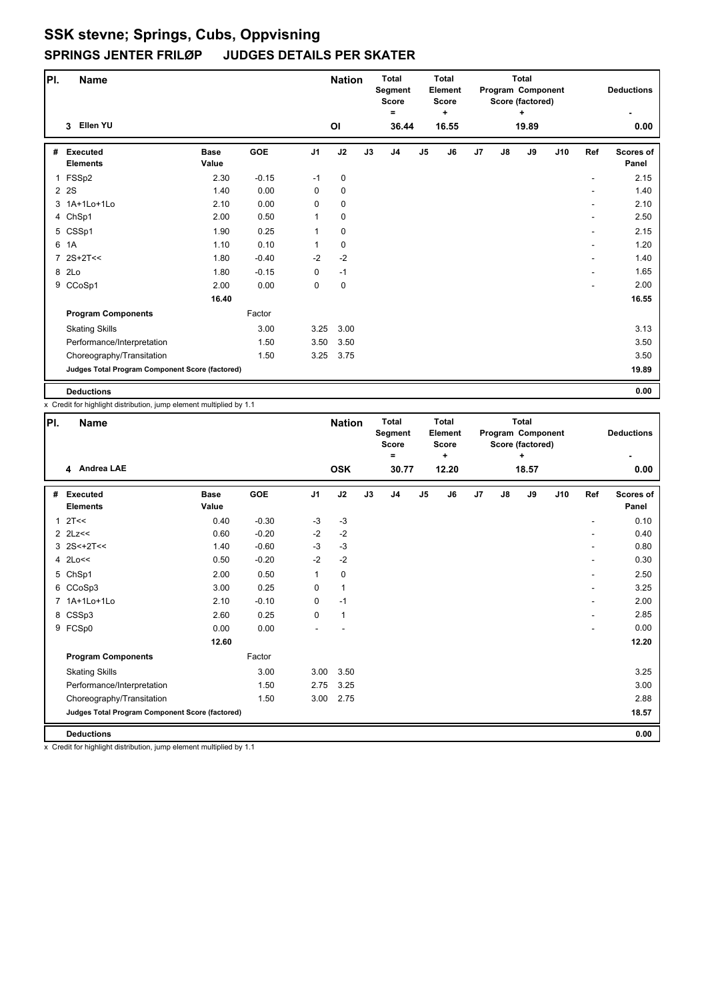| PI.          | <b>Name</b>                                     |                      |         |                | <b>Nation</b> |    | <b>Total</b><br>Segment<br><b>Score</b><br>Ξ |    | <b>Total</b><br>Element<br><b>Score</b><br>$\ddot{}$ |                |    | <b>Total</b><br>Program Component<br>Score (factored)<br>÷ |     |                          | <b>Deductions</b>         |
|--------------|-------------------------------------------------|----------------------|---------|----------------|---------------|----|----------------------------------------------|----|------------------------------------------------------|----------------|----|------------------------------------------------------------|-----|--------------------------|---------------------------|
|              | Ellen YU<br>3                                   |                      |         |                | ΟI            |    | 36.44                                        |    | 16.55                                                |                |    | 19.89                                                      |     |                          | 0.00                      |
| #            | <b>Executed</b><br><b>Elements</b>              | <b>Base</b><br>Value | GOE     | J <sub>1</sub> | J2            | J3 | J <sub>4</sub>                               | J5 | J6                                                   | J <sub>7</sub> | J8 | J9                                                         | J10 | Ref                      | <b>Scores of</b><br>Panel |
| $\mathbf{1}$ | FSSp2                                           | 2.30                 | $-0.15$ | $-1$           | $\mathbf 0$   |    |                                              |    |                                                      |                |    |                                                            |     | ٠                        | 2.15                      |
|              | 2 2 S                                           | 1.40                 | 0.00    | 0              | 0             |    |                                              |    |                                                      |                |    |                                                            |     |                          | 1.40                      |
|              | 3 1A+1Lo+1Lo                                    | 2.10                 | 0.00    | 0              | 0             |    |                                              |    |                                                      |                |    |                                                            |     | ٠                        | 2.10                      |
|              | 4 ChSp1                                         | 2.00                 | 0.50    | 1              | 0             |    |                                              |    |                                                      |                |    |                                                            |     |                          | 2.50                      |
|              | 5 CSSp1                                         | 1.90                 | 0.25    | 1              | $\mathbf 0$   |    |                                              |    |                                                      |                |    |                                                            |     | $\overline{\phantom{0}}$ | 2.15                      |
|              | 6 1A                                            | 1.10                 | 0.10    | 1              | 0             |    |                                              |    |                                                      |                |    |                                                            |     |                          | 1.20                      |
|              | 7 2S+2T<<                                       | 1.80                 | $-0.40$ | $-2$           | $-2$          |    |                                              |    |                                                      |                |    |                                                            |     | ٠                        | 1.40                      |
|              | 8 2Lo                                           | 1.80                 | $-0.15$ | 0              | $-1$          |    |                                              |    |                                                      |                |    |                                                            |     | ۰                        | 1.65                      |
|              | 9 CCoSp1                                        | 2.00                 | 0.00    | 0              | $\mathbf 0$   |    |                                              |    |                                                      |                |    |                                                            |     |                          | 2.00                      |
|              |                                                 | 16.40                |         |                |               |    |                                              |    |                                                      |                |    |                                                            |     |                          | 16.55                     |
|              | <b>Program Components</b>                       |                      | Factor  |                |               |    |                                              |    |                                                      |                |    |                                                            |     |                          |                           |
|              | <b>Skating Skills</b>                           |                      | 3.00    | 3.25           | 3.00          |    |                                              |    |                                                      |                |    |                                                            |     |                          | 3.13                      |
|              | Performance/Interpretation                      |                      | 1.50    | 3.50           | 3.50          |    |                                              |    |                                                      |                |    |                                                            |     |                          | 3.50                      |
|              | Choreography/Transitation                       |                      | 1.50    | 3.25           | 3.75          |    |                                              |    |                                                      |                |    |                                                            |     |                          | 3.50                      |
|              | Judges Total Program Component Score (factored) |                      |         |                |               |    |                                              |    |                                                      |                |    |                                                            |     |                          | 19.89                     |
|              | <b>Deductions</b>                               |                      |         |                |               |    |                                              |    |                                                      |                |    |                                                            |     |                          | 0.00                      |

x Credit for highlight distribution, jump element multiplied by 1.1

| PI.            | <b>Name</b>                                     |                      |         |                | <b>Nation</b> |    | <b>Total</b><br>Segment<br><b>Score</b><br>Ξ |                | <b>Total</b><br>Element<br><b>Score</b><br>٠ |    |    | <b>Total</b><br>Program Component<br>Score (factored)<br>÷ |     |                          | <b>Deductions</b>         |
|----------------|-------------------------------------------------|----------------------|---------|----------------|---------------|----|----------------------------------------------|----------------|----------------------------------------------|----|----|------------------------------------------------------------|-----|--------------------------|---------------------------|
|                | 4 Andrea LAE                                    |                      |         |                | <b>OSK</b>    |    | 30.77                                        |                | 12.20                                        |    |    | 18.57                                                      |     |                          | 0.00                      |
| #              | <b>Executed</b><br><b>Elements</b>              | <b>Base</b><br>Value | GOE     | J <sub>1</sub> | J2            | J3 | J <sub>4</sub>                               | J <sub>5</sub> | J6                                           | J7 | J8 | J9                                                         | J10 | Ref                      | <b>Scores of</b><br>Panel |
| $\mathbf{1}$   | 2T<<                                            | 0.40                 | $-0.30$ | $-3$           | $-3$          |    |                                              |                |                                              |    |    |                                                            |     |                          | 0.10                      |
|                | $2$ $2$ $Lz <$                                  | 0.60                 | $-0.20$ | $-2$           | $-2$          |    |                                              |                |                                              |    |    |                                                            |     |                          | 0.40                      |
|                | $3$ 2S < + 2T < <                               | 1.40                 | $-0.60$ | $-3$           | $-3$          |    |                                              |                |                                              |    |    |                                                            |     | ٠                        | 0.80                      |
|                | 4 2Lo<<                                         | 0.50                 | $-0.20$ | $-2$           | $-2$          |    |                                              |                |                                              |    |    |                                                            |     | $\overline{\phantom{a}}$ | 0.30                      |
|                | 5 ChSp1                                         | 2.00                 | 0.50    | 1              | 0             |    |                                              |                |                                              |    |    |                                                            |     | ٠                        | 2.50                      |
|                | 6 CCoSp3                                        | 3.00                 | 0.25    | 0              | $\mathbf{1}$  |    |                                              |                |                                              |    |    |                                                            |     | $\overline{a}$           | 3.25                      |
| $\overline{7}$ | 1A+1Lo+1Lo                                      | 2.10                 | $-0.10$ | 0              | $-1$          |    |                                              |                |                                              |    |    |                                                            |     | $\overline{a}$           | 2.00                      |
|                | 8 CSSp3                                         | 2.60                 | 0.25    | 0              | $\mathbf{1}$  |    |                                              |                |                                              |    |    |                                                            |     |                          | 2.85                      |
|                | 9 FCSp0                                         | 0.00                 | 0.00    |                |               |    |                                              |                |                                              |    |    |                                                            |     | $\overline{a}$           | 0.00                      |
|                |                                                 | 12.60                |         |                |               |    |                                              |                |                                              |    |    |                                                            |     |                          | 12.20                     |
|                | <b>Program Components</b>                       |                      | Factor  |                |               |    |                                              |                |                                              |    |    |                                                            |     |                          |                           |
|                | <b>Skating Skills</b>                           |                      | 3.00    | 3.00           | 3.50          |    |                                              |                |                                              |    |    |                                                            |     |                          | 3.25                      |
|                | Performance/Interpretation                      |                      | 1.50    | 2.75           | 3.25          |    |                                              |                |                                              |    |    |                                                            |     |                          | 3.00                      |
|                | Choreography/Transitation                       |                      | 1.50    | 3.00           | 2.75          |    |                                              |                |                                              |    |    |                                                            |     |                          | 2.88                      |
|                | Judges Total Program Component Score (factored) |                      |         |                |               |    |                                              |                |                                              |    |    |                                                            |     |                          | 18.57                     |
|                | <b>Deductions</b>                               |                      |         |                |               |    |                                              |                |                                              |    |    |                                                            |     |                          | 0.00                      |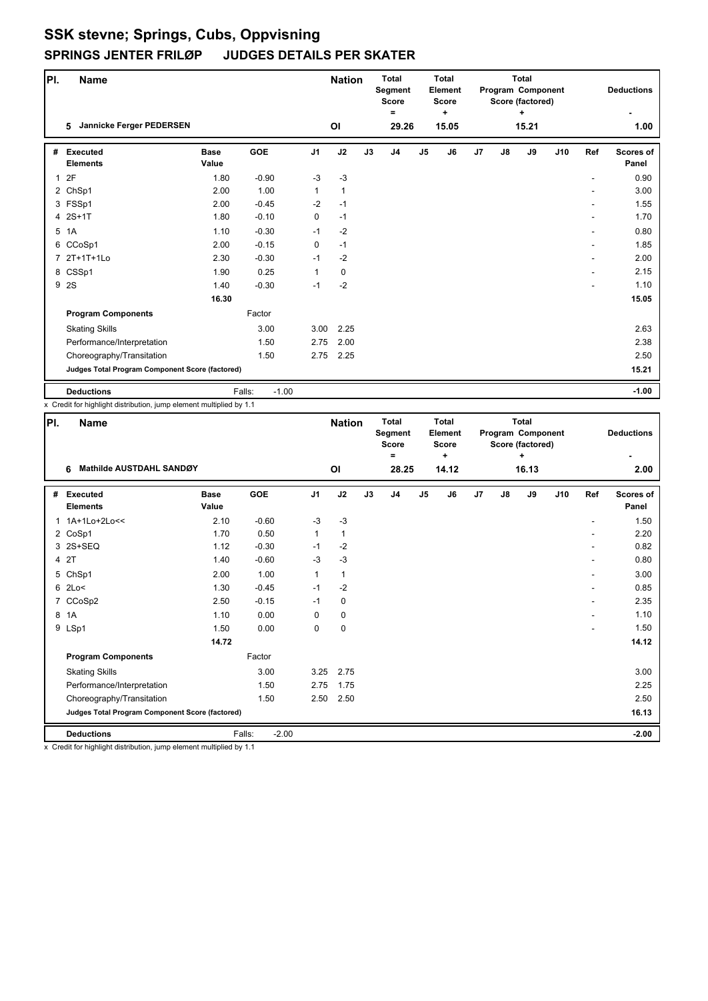| PI.          | <b>Name</b>                                     |                      |                   |                | <b>Nation</b> |    | <b>Total</b><br><b>Segment</b><br><b>Score</b><br>Ξ |    | <b>Total</b><br>Element<br><b>Score</b><br>٠ |                |    | <b>Total</b><br>Program Component<br>Score (factored)<br>٠ |     |     | <b>Deductions</b>         |
|--------------|-------------------------------------------------|----------------------|-------------------|----------------|---------------|----|-----------------------------------------------------|----|----------------------------------------------|----------------|----|------------------------------------------------------------|-----|-----|---------------------------|
|              | Jannicke Ferger PEDERSEN<br>5                   |                      |                   |                | ΟI            |    | 29.26                                               |    | 15.05                                        |                |    | 15.21                                                      |     |     | 1.00                      |
| #            | <b>Executed</b><br><b>Elements</b>              | <b>Base</b><br>Value | <b>GOE</b>        | J <sub>1</sub> | J2            | J3 | J <sub>4</sub>                                      | J5 | J6                                           | J <sub>7</sub> | J8 | J9                                                         | J10 | Ref | <b>Scores of</b><br>Panel |
| $\mathbf{1}$ | 2F                                              | 1.80                 | $-0.90$           | $-3$           | $-3$          |    |                                                     |    |                                              |                |    |                                                            |     |     | 0.90                      |
|              | 2 ChSp1                                         | 2.00                 | 1.00              | 1              | $\mathbf{1}$  |    |                                                     |    |                                              |                |    |                                                            |     |     | 3.00                      |
|              | 3 FSSp1                                         | 2.00                 | $-0.45$           | $-2$           | $-1$          |    |                                                     |    |                                              |                |    |                                                            |     |     | 1.55                      |
|              | 4 2S+1T                                         | 1.80                 | $-0.10$           | 0              | $-1$          |    |                                                     |    |                                              |                |    |                                                            |     |     | 1.70                      |
|              | 5 1A                                            | 1.10                 | $-0.30$           | $-1$           | $-2$          |    |                                                     |    |                                              |                |    |                                                            |     |     | 0.80                      |
|              | 6 CCoSp1                                        | 2.00                 | $-0.15$           | 0              | $-1$          |    |                                                     |    |                                              |                |    |                                                            |     |     | 1.85                      |
|              | 7 2T+1T+1Lo                                     | 2.30                 | $-0.30$           | $-1$           | $-2$          |    |                                                     |    |                                              |                |    |                                                            |     |     | 2.00                      |
|              | 8 CSSp1                                         | 1.90                 | 0.25              | 1              | $\mathbf 0$   |    |                                                     |    |                                              |                |    |                                                            |     |     | 2.15                      |
|              | 9 2S                                            | 1.40                 | $-0.30$           | $-1$           | $-2$          |    |                                                     |    |                                              |                |    |                                                            |     |     | 1.10                      |
|              |                                                 | 16.30                |                   |                |               |    |                                                     |    |                                              |                |    |                                                            |     |     | 15.05                     |
|              | <b>Program Components</b>                       |                      | Factor            |                |               |    |                                                     |    |                                              |                |    |                                                            |     |     |                           |
|              | <b>Skating Skills</b>                           |                      | 3.00              | 3.00           | 2.25          |    |                                                     |    |                                              |                |    |                                                            |     |     | 2.63                      |
|              | Performance/Interpretation                      |                      | 1.50              | 2.75           | 2.00          |    |                                                     |    |                                              |                |    |                                                            |     |     | 2.38                      |
|              | Choreography/Transitation                       |                      | 1.50              | 2.75           | 2.25          |    |                                                     |    |                                              |                |    |                                                            |     |     | 2.50                      |
|              | Judges Total Program Component Score (factored) |                      |                   |                |               |    |                                                     |    |                                              |                |    |                                                            |     |     | 15.21                     |
|              | <b>Deductions</b>                               |                      | Falls:<br>$-1.00$ |                |               |    |                                                     |    |                                              |                |    |                                                            |     |     | $-1.00$                   |

x Credit for highlight distribution, jump element multiplied by 1.1

| PI. | <b>Name</b>                                            |                      |                   |                | <b>Nation</b> |    | <b>Total</b><br>Segment<br><b>Score</b><br>= |    | <b>Total</b><br>Element<br><b>Score</b><br>٠ |    |    | <b>Total</b><br>Program Component<br>Score (factored)<br>٠ |     |     | <b>Deductions</b>         |
|-----|--------------------------------------------------------|----------------------|-------------------|----------------|---------------|----|----------------------------------------------|----|----------------------------------------------|----|----|------------------------------------------------------------|-----|-----|---------------------------|
|     | Mathilde AUSTDAHL SANDØY<br>6                          |                      |                   |                | ΟI            |    | 28.25                                        |    | 14.12                                        |    |    | 16.13                                                      |     |     | 2.00                      |
| #   | <b>Executed</b><br><b>Elements</b>                     | <b>Base</b><br>Value | GOE               | J <sub>1</sub> | J2            | J3 | J <sub>4</sub>                               | J5 | J6                                           | J7 | J8 | J9                                                         | J10 | Ref | <b>Scores of</b><br>Panel |
|     | 1 1A+1Lo+2Lo<<                                         | 2.10                 | $-0.60$           | $-3$           | $-3$          |    |                                              |    |                                              |    |    |                                                            |     |     | 1.50                      |
|     | 2 CoSp1                                                | 1.70                 | 0.50              | $\mathbf{1}$   | $\mathbf{1}$  |    |                                              |    |                                              |    |    |                                                            |     |     | 2.20                      |
|     | 3 2S+SEQ                                               | 1.12                 | $-0.30$           | $-1$           | $-2$          |    |                                              |    |                                              |    |    |                                                            |     |     | 0.82                      |
|     | 4 2T                                                   | 1.40                 | $-0.60$           | $-3$           | $-3$          |    |                                              |    |                                              |    |    |                                                            |     |     | 0.80                      |
|     | 5 ChSp1                                                | 2.00                 | 1.00              | 1              | $\mathbf{1}$  |    |                                              |    |                                              |    |    |                                                            |     |     | 3.00                      |
|     | $6$ 2Lo<                                               | 1.30                 | $-0.45$           | $-1$           | $-2$          |    |                                              |    |                                              |    |    |                                                            |     |     | 0.85                      |
|     | 7 CCoSp2                                               | 2.50                 | $-0.15$           | $-1$           | 0             |    |                                              |    |                                              |    |    |                                                            |     |     | 2.35                      |
|     | 8 1A                                                   | 1.10                 | 0.00              | $\Omega$       | $\pmb{0}$     |    |                                              |    |                                              |    |    |                                                            |     |     | 1.10                      |
|     | 9 LSp1                                                 | 1.50                 | 0.00              | 0              | $\mathbf 0$   |    |                                              |    |                                              |    |    |                                                            |     |     | 1.50                      |
|     |                                                        | 14.72                |                   |                |               |    |                                              |    |                                              |    |    |                                                            |     |     | 14.12                     |
|     | <b>Program Components</b>                              |                      | Factor            |                |               |    |                                              |    |                                              |    |    |                                                            |     |     |                           |
|     | <b>Skating Skills</b>                                  |                      | 3.00              | 3.25           | 2.75          |    |                                              |    |                                              |    |    |                                                            |     |     | 3.00                      |
|     | Performance/Interpretation                             |                      | 1.50              | 2.75           | 1.75          |    |                                              |    |                                              |    |    |                                                            |     |     | 2.25                      |
|     | Choreography/Transitation                              |                      | 1.50              | 2.50           | 2.50          |    |                                              |    |                                              |    |    |                                                            |     |     | 2.50                      |
|     | <b>Judges Total Program Component Score (factored)</b> |                      |                   |                |               |    |                                              |    |                                              |    |    |                                                            |     |     | 16.13                     |
|     | <b>Deductions</b>                                      |                      | Falls:<br>$-2.00$ |                |               |    |                                              |    |                                              |    |    |                                                            |     |     | $-2.00$                   |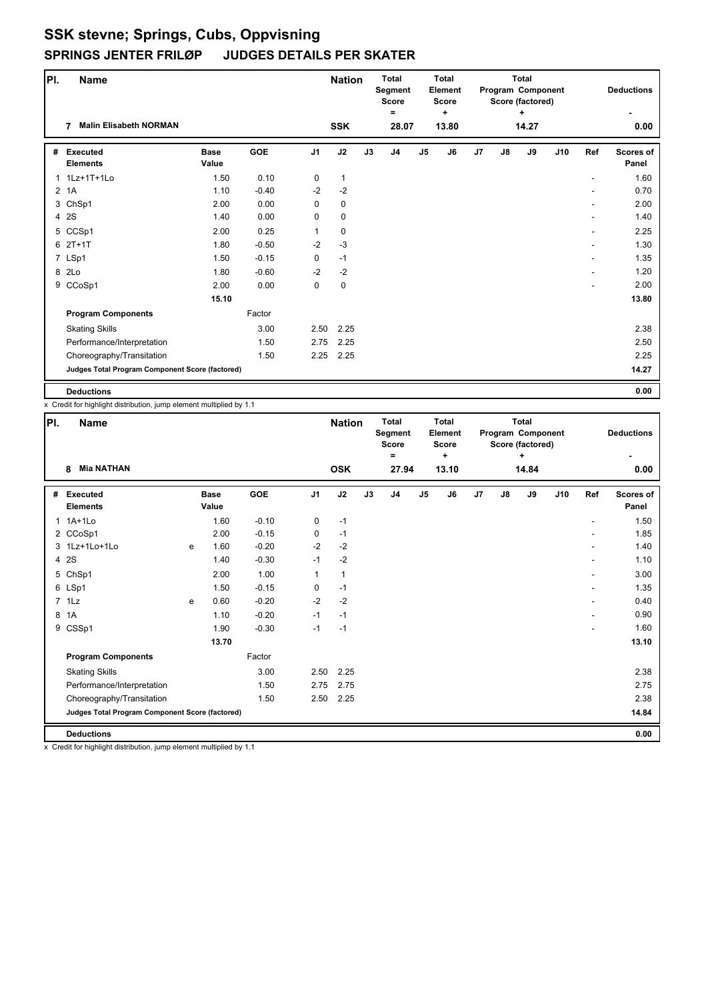| PI.          | <b>Name</b>                                     |                      |         |                | <b>Nation</b> |    | <b>Total</b><br>Segment<br><b>Score</b><br>Ξ |               | <b>Total</b><br>Element<br><b>Score</b><br>٠ |                |    | <b>Total</b><br>Program Component<br>Score (factored)<br>٠ |     |                          | <b>Deductions</b>         |
|--------------|-------------------------------------------------|----------------------|---------|----------------|---------------|----|----------------------------------------------|---------------|----------------------------------------------|----------------|----|------------------------------------------------------------|-----|--------------------------|---------------------------|
|              | <b>Malin Elisabeth NORMAN</b>                   |                      |         |                | <b>SSK</b>    |    | 28.07                                        |               | 13.80                                        |                |    | 14.27                                                      |     |                          | 0.00                      |
| #            | <b>Executed</b><br><b>Elements</b>              | <b>Base</b><br>Value | GOE     | J <sub>1</sub> | J2            | J3 | J <sub>4</sub>                               | $\mathsf{J}5$ | J6                                           | J <sub>7</sub> | J8 | J9                                                         | J10 | Ref                      | <b>Scores of</b><br>Panel |
| $\mathbf{1}$ | 1Lz+1T+1Lo                                      | 1.50                 | 0.10    | 0              | $\mathbf{1}$  |    |                                              |               |                                              |                |    |                                                            |     | $\overline{\phantom{a}}$ | 1.60                      |
|              | $2$ 1A                                          | 1.10                 | $-0.40$ | $-2$           | $-2$          |    |                                              |               |                                              |                |    |                                                            |     |                          | 0.70                      |
|              | 3 ChSp1                                         | 2.00                 | 0.00    | 0              | 0             |    |                                              |               |                                              |                |    |                                                            |     |                          | 2.00                      |
|              | 4 2S                                            | 1.40                 | 0.00    | 0              | 0             |    |                                              |               |                                              |                |    |                                                            |     |                          | 1.40                      |
|              | 5 CCSp1                                         | 2.00                 | 0.25    | 1              | 0             |    |                                              |               |                                              |                |    |                                                            |     | ٠                        | 2.25                      |
|              | $62T+1T$                                        | 1.80                 | $-0.50$ | $-2$           | $-3$          |    |                                              |               |                                              |                |    |                                                            |     | ۰                        | 1.30                      |
|              | 7 LSp1                                          | 1.50                 | $-0.15$ | 0              | $-1$          |    |                                              |               |                                              |                |    |                                                            |     | $\overline{\phantom{a}}$ | 1.35                      |
|              | 8 2Lo                                           | 1.80                 | $-0.60$ | $-2$           | $-2$          |    |                                              |               |                                              |                |    |                                                            |     | ٠                        | 1.20                      |
|              | 9 CCoSp1                                        | 2.00                 | 0.00    | 0              | $\mathbf 0$   |    |                                              |               |                                              |                |    |                                                            |     |                          | 2.00                      |
|              |                                                 | 15.10                |         |                |               |    |                                              |               |                                              |                |    |                                                            |     |                          | 13.80                     |
|              | <b>Program Components</b>                       |                      | Factor  |                |               |    |                                              |               |                                              |                |    |                                                            |     |                          |                           |
|              | <b>Skating Skills</b>                           |                      | 3.00    | 2.50           | 2.25          |    |                                              |               |                                              |                |    |                                                            |     |                          | 2.38                      |
|              | Performance/Interpretation                      |                      | 1.50    | 2.75           | 2.25          |    |                                              |               |                                              |                |    |                                                            |     |                          | 2.50                      |
|              | Choreography/Transitation                       |                      | 1.50    | 2.25           | 2.25          |    |                                              |               |                                              |                |    |                                                            |     |                          | 2.25                      |
|              | Judges Total Program Component Score (factored) |                      |         |                |               |    |                                              |               |                                              |                |    |                                                            |     |                          | 14.27                     |
|              | <b>Deductions</b>                               |                      |         |                |               |    |                                              |               |                                              |                |    |                                                            |     |                          | 0.00                      |

x Credit for highlight distribution, jump element multiplied by 1.1

| PI.          | <b>Name</b>                                     |   |                      |         |                | <b>Nation</b> |    | <b>Total</b><br>Segment<br><b>Score</b><br>= |                | <b>Total</b><br>Element<br><b>Score</b><br>٠ |    |    | <b>Total</b><br>Program Component<br>Score (factored)<br>+ |     |                          | <b>Deductions</b>         |
|--------------|-------------------------------------------------|---|----------------------|---------|----------------|---------------|----|----------------------------------------------|----------------|----------------------------------------------|----|----|------------------------------------------------------------|-----|--------------------------|---------------------------|
|              | <b>Mia NATHAN</b><br>8                          |   |                      |         |                | <b>OSK</b>    |    | 27.94                                        |                | 13.10                                        |    |    | 14.84                                                      |     |                          | 0.00                      |
| #            | <b>Executed</b><br><b>Elements</b>              |   | <b>Base</b><br>Value | GOE     | J <sub>1</sub> | J2            | J3 | J <sub>4</sub>                               | J <sub>5</sub> | J6                                           | J7 | J8 | J9                                                         | J10 | Ref                      | <b>Scores of</b><br>Panel |
| $\mathbf{1}$ | $1A+1L0$                                        |   | 1.60                 | $-0.10$ | 0              | $-1$          |    |                                              |                |                                              |    |    |                                                            |     | $\overline{a}$           | 1.50                      |
|              | 2 CCoSp1                                        |   | 2.00                 | $-0.15$ | 0              | $-1$          |    |                                              |                |                                              |    |    |                                                            |     |                          | 1.85                      |
|              | 3 1Lz+1Lo+1Lo                                   | e | 1.60                 | $-0.20$ | $-2$           | $-2$          |    |                                              |                |                                              |    |    |                                                            |     | $\overline{\phantom{a}}$ | 1.40                      |
|              | 4 2S                                            |   | 1.40                 | $-0.30$ | $-1$           | $-2$          |    |                                              |                |                                              |    |    |                                                            |     | ٠                        | 1.10                      |
|              | 5 ChSp1                                         |   | 2.00                 | 1.00    | $\mathbf{1}$   | $\mathbf{1}$  |    |                                              |                |                                              |    |    |                                                            |     | $\overline{a}$           | 3.00                      |
|              | 6 LSp1                                          |   | 1.50                 | $-0.15$ | 0              | $-1$          |    |                                              |                |                                              |    |    |                                                            |     |                          | 1.35                      |
|              | 7 1Lz                                           | e | 0.60                 | $-0.20$ | $-2$           | $-2$          |    |                                              |                |                                              |    |    |                                                            |     | $\overline{a}$           | 0.40                      |
| 8            | 1A                                              |   | 1.10                 | $-0.20$ | $-1$           | $-1$          |    |                                              |                |                                              |    |    |                                                            |     |                          | 0.90                      |
|              | 9 CSSp1                                         |   | 1.90                 | $-0.30$ | $-1$           | $-1$          |    |                                              |                |                                              |    |    |                                                            |     | $\overline{a}$           | 1.60                      |
|              |                                                 |   | 13.70                |         |                |               |    |                                              |                |                                              |    |    |                                                            |     |                          | 13.10                     |
|              | <b>Program Components</b>                       |   |                      | Factor  |                |               |    |                                              |                |                                              |    |    |                                                            |     |                          |                           |
|              | <b>Skating Skills</b>                           |   |                      | 3.00    | 2.50           | 2.25          |    |                                              |                |                                              |    |    |                                                            |     |                          | 2.38                      |
|              | Performance/Interpretation                      |   |                      | 1.50    | 2.75           | 2.75          |    |                                              |                |                                              |    |    |                                                            |     |                          | 2.75                      |
|              | Choreography/Transitation                       |   |                      | 1.50    | 2.50           | 2.25          |    |                                              |                |                                              |    |    |                                                            |     |                          | 2.38                      |
|              | Judges Total Program Component Score (factored) |   |                      |         |                |               |    |                                              |                |                                              |    |    |                                                            |     |                          | 14.84                     |
|              | <b>Deductions</b>                               |   |                      |         |                |               |    |                                              |                |                                              |    |    |                                                            |     |                          | 0.00                      |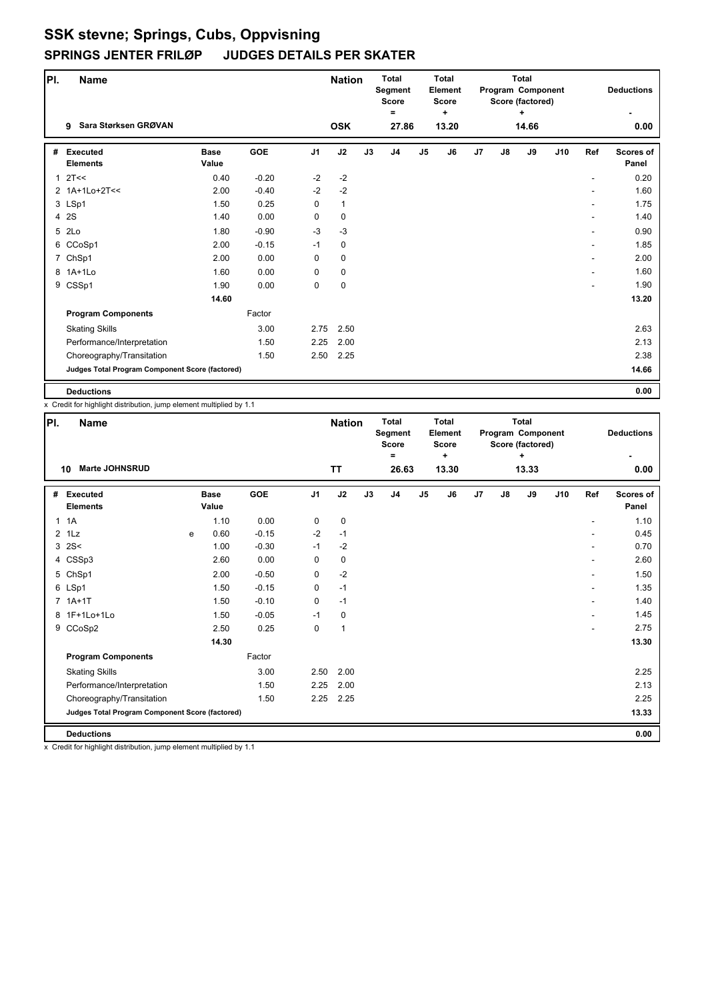| PI.          |        | Name                                            |                      |            |                | <b>Nation</b> |    | <b>Total</b><br>Segment<br><b>Score</b><br>Ξ |                | <b>Total</b><br><b>Element</b><br><b>Score</b><br>÷ |    |    | <b>Total</b><br>Program Component<br>Score (factored)<br>÷ |     |     | <b>Deductions</b>         |
|--------------|--------|-------------------------------------------------|----------------------|------------|----------------|---------------|----|----------------------------------------------|----------------|-----------------------------------------------------|----|----|------------------------------------------------------------|-----|-----|---------------------------|
|              | 9      | Sara Størksen GRØVAN                            |                      |            |                | <b>OSK</b>    |    | 27.86                                        |                | 13.20                                               |    |    | 14.66                                                      |     |     | 0.00                      |
| #            |        | <b>Executed</b><br><b>Elements</b>              | <b>Base</b><br>Value | <b>GOE</b> | J <sub>1</sub> | J2            | J3 | J <sub>4</sub>                               | J <sub>5</sub> | J6                                                  | J7 | J8 | J9                                                         | J10 | Ref | <b>Scores of</b><br>Panel |
| $\mathbf{1}$ |        | 2T<<                                            | 0.40                 | $-0.20$    | $-2$           | $-2$          |    |                                              |                |                                                     |    |    |                                                            |     |     | 0.20                      |
|              |        | 2 1A+1Lo+2T<<                                   | 2.00                 | $-0.40$    | $-2$           | $-2$          |    |                                              |                |                                                     |    |    |                                                            |     |     | 1.60                      |
|              | 3 LSp1 |                                                 | 1.50                 | 0.25       | $\mathbf 0$    | 1             |    |                                              |                |                                                     |    |    |                                                            |     |     | 1.75                      |
|              | 4 2S   |                                                 | 1.40                 | 0.00       | $\mathbf 0$    | $\mathbf 0$   |    |                                              |                |                                                     |    |    |                                                            |     |     | 1.40                      |
|              | 5 2Lo  |                                                 | 1.80                 | $-0.90$    | $-3$           | $-3$          |    |                                              |                |                                                     |    |    |                                                            |     | ٠   | 0.90                      |
|              |        | 6 CCoSp1                                        | 2.00                 | $-0.15$    | $-1$           | 0             |    |                                              |                |                                                     |    |    |                                                            |     | ۰   | 1.85                      |
|              |        | 7 ChSp1                                         | 2.00                 | 0.00       | $\mathbf 0$    | $\mathbf 0$   |    |                                              |                |                                                     |    |    |                                                            |     |     | 2.00                      |
|              |        | 8 1A+1Lo                                        | 1.60                 | 0.00       | $\mathbf 0$    | 0             |    |                                              |                |                                                     |    |    |                                                            |     |     | 1.60                      |
|              |        | 9 CSSp1                                         | 1.90                 | 0.00       | 0              | $\pmb{0}$     |    |                                              |                |                                                     |    |    |                                                            |     |     | 1.90                      |
|              |        |                                                 | 14.60                |            |                |               |    |                                              |                |                                                     |    |    |                                                            |     |     | 13.20                     |
|              |        | <b>Program Components</b>                       |                      | Factor     |                |               |    |                                              |                |                                                     |    |    |                                                            |     |     |                           |
|              |        | <b>Skating Skills</b>                           |                      | 3.00       | 2.75           | 2.50          |    |                                              |                |                                                     |    |    |                                                            |     |     | 2.63                      |
|              |        | Performance/Interpretation                      |                      | 1.50       | 2.25           | 2.00          |    |                                              |                |                                                     |    |    |                                                            |     |     | 2.13                      |
|              |        | Choreography/Transitation                       |                      | 1.50       | 2.50           | 2.25          |    |                                              |                |                                                     |    |    |                                                            |     |     | 2.38                      |
|              |        | Judges Total Program Component Score (factored) |                      |            |                |               |    |                                              |                |                                                     |    |    |                                                            |     |     | 14.66                     |
|              |        | <b>Deductions</b>                               |                      |            |                |               |    |                                              |                |                                                     |    |    |                                                            |     |     | 0.00                      |

x Credit for highlight distribution, jump element multiplied by 1.1

| PI. | <b>Name</b>                                     |   |                      |            |                | <b>Nation</b> |    | <b>Total</b><br>Segment<br><b>Score</b><br>= |                | <b>Total</b><br>Element<br><b>Score</b><br>٠ |    |               | <b>Total</b><br>Program Component<br>Score (factored)<br>٠ |     |                          | <b>Deductions</b>         |
|-----|-------------------------------------------------|---|----------------------|------------|----------------|---------------|----|----------------------------------------------|----------------|----------------------------------------------|----|---------------|------------------------------------------------------------|-----|--------------------------|---------------------------|
|     | <b>Marte JOHNSRUD</b><br>10                     |   |                      |            |                | <b>TT</b>     |    | 26.63                                        |                | 13.30                                        |    |               | 13.33                                                      |     |                          | 0.00                      |
| #   | Executed<br><b>Elements</b>                     |   | <b>Base</b><br>Value | <b>GOE</b> | J <sub>1</sub> | J2            | J3 | J <sub>4</sub>                               | J <sub>5</sub> | J6                                           | J7 | $\mathsf{J}8$ | J9                                                         | J10 | Ref                      | <b>Scores of</b><br>Panel |
| 1.  | 1A                                              |   | 1.10                 | 0.00       | 0              | 0             |    |                                              |                |                                              |    |               |                                                            |     |                          | 1.10                      |
|     | $2$ 1 Lz                                        | e | 0.60                 | $-0.15$    | $-2$           | $-1$          |    |                                              |                |                                              |    |               |                                                            |     |                          | 0.45                      |
|     | $3 \, 2S <$                                     |   | 1.00                 | $-0.30$    | $-1$           | $-2$          |    |                                              |                |                                              |    |               |                                                            |     |                          | 0.70                      |
|     | 4 CSSp3                                         |   | 2.60                 | 0.00       | 0              | 0             |    |                                              |                |                                              |    |               |                                                            |     |                          | 2.60                      |
|     | 5 ChSp1                                         |   | 2.00                 | $-0.50$    | 0              | $-2$          |    |                                              |                |                                              |    |               |                                                            |     | ٠                        | 1.50                      |
|     | 6 LSp1                                          |   | 1.50                 | $-0.15$    | 0              | $-1$          |    |                                              |                |                                              |    |               |                                                            |     | ٠                        | 1.35                      |
|     | $7.1A+1T$                                       |   | 1.50                 | $-0.10$    | 0              | $-1$          |    |                                              |                |                                              |    |               |                                                            |     | ٠                        | 1.40                      |
|     | 8 1F+1Lo+1Lo                                    |   | 1.50                 | $-0.05$    | $-1$           | 0             |    |                                              |                |                                              |    |               |                                                            |     | $\overline{\phantom{a}}$ | 1.45                      |
|     | 9 CCoSp2                                        |   | 2.50                 | 0.25       | 0              | $\mathbf{1}$  |    |                                              |                |                                              |    |               |                                                            |     | ٠                        | 2.75                      |
|     |                                                 |   | 14.30                |            |                |               |    |                                              |                |                                              |    |               |                                                            |     |                          | 13.30                     |
|     | <b>Program Components</b>                       |   |                      | Factor     |                |               |    |                                              |                |                                              |    |               |                                                            |     |                          |                           |
|     | <b>Skating Skills</b>                           |   |                      | 3.00       | 2.50           | 2.00          |    |                                              |                |                                              |    |               |                                                            |     |                          | 2.25                      |
|     | Performance/Interpretation                      |   |                      | 1.50       | 2.25           | 2.00          |    |                                              |                |                                              |    |               |                                                            |     |                          | 2.13                      |
|     | Choreography/Transitation                       |   |                      | 1.50       | 2.25           | 2.25          |    |                                              |                |                                              |    |               |                                                            |     |                          | 2.25                      |
|     | Judges Total Program Component Score (factored) |   |                      |            |                |               |    |                                              |                |                                              |    |               |                                                            |     |                          | 13.33                     |
|     | <b>Deductions</b>                               |   |                      |            |                |               |    |                                              |                |                                              |    |               |                                                            |     |                          | 0.00                      |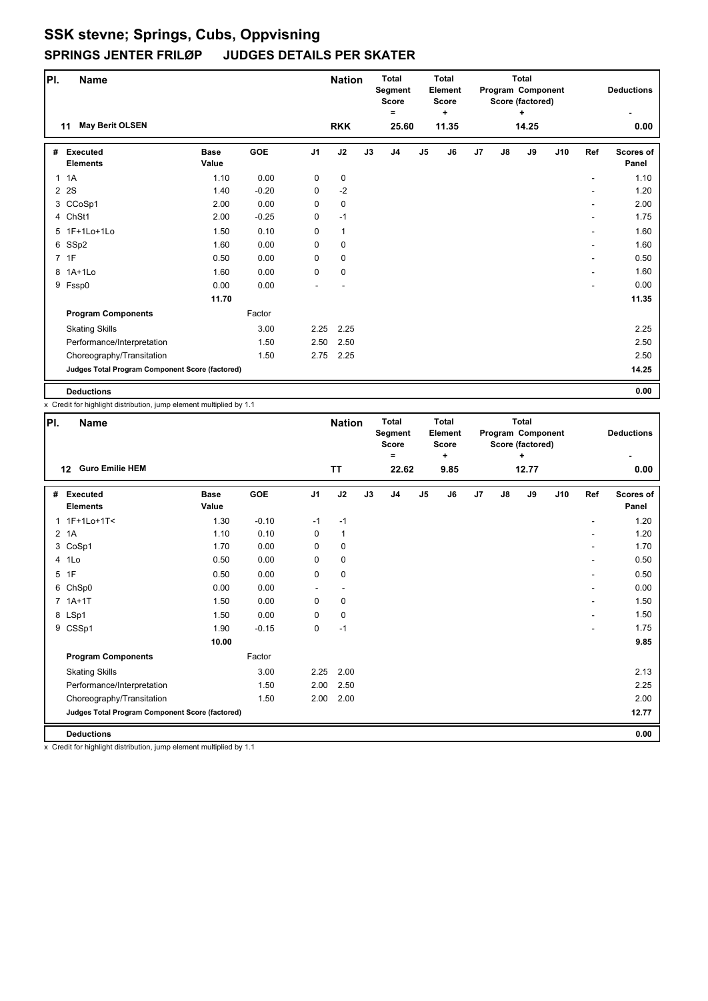| PI.          | Name                                            |                      |            |                | <b>Nation</b> |    | <b>Total</b><br>Segment<br><b>Score</b><br>Ξ |               | <b>Total</b><br>Element<br><b>Score</b><br>٠ |    |    | <b>Total</b><br>Program Component<br>Score (factored)<br>÷ |     |     | <b>Deductions</b>         |
|--------------|-------------------------------------------------|----------------------|------------|----------------|---------------|----|----------------------------------------------|---------------|----------------------------------------------|----|----|------------------------------------------------------------|-----|-----|---------------------------|
|              | <b>May Berit OLSEN</b><br>11                    |                      |            |                | <b>RKK</b>    |    | 25.60                                        |               | 11.35                                        |    |    | 14.25                                                      |     |     | 0.00                      |
| #            | Executed<br><b>Elements</b>                     | <b>Base</b><br>Value | <b>GOE</b> | J <sub>1</sub> | J2            | J3 | J <sub>4</sub>                               | $\mathsf{J}5$ | J6                                           | J7 | J8 | J9                                                         | J10 | Ref | <b>Scores of</b><br>Panel |
| $\mathbf{1}$ | 1A                                              | 1.10                 | 0.00       | 0              | $\mathbf 0$   |    |                                              |               |                                              |    |    |                                                            |     | ۰   | 1.10                      |
| 2            | 2S                                              | 1.40                 | $-0.20$    | 0              | $-2$          |    |                                              |               |                                              |    |    |                                                            |     |     | 1.20                      |
|              | 3 CCoSp1                                        | 2.00                 | 0.00       | 0              | $\mathbf 0$   |    |                                              |               |                                              |    |    |                                                            |     | ۰   | 2.00                      |
|              | 4 ChSt1                                         | 2.00                 | $-0.25$    | 0              | $-1$          |    |                                              |               |                                              |    |    |                                                            |     |     | 1.75                      |
|              | 5 1F+1Lo+1Lo                                    | 1.50                 | 0.10       | 0              | $\mathbf{1}$  |    |                                              |               |                                              |    |    |                                                            |     | ٠   | 1.60                      |
|              | 6 SSp2                                          | 1.60                 | 0.00       | 0              | 0             |    |                                              |               |                                              |    |    |                                                            |     | ۰   | 1.60                      |
|              | 7 1F                                            | 0.50                 | 0.00       | 0              | 0             |    |                                              |               |                                              |    |    |                                                            |     | ۰   | 0.50                      |
|              | 8 1A+1Lo                                        | 1.60                 | 0.00       | 0              | 0             |    |                                              |               |                                              |    |    |                                                            |     | ۰   | 1.60                      |
|              | 9 Fssp0                                         | 0.00                 | 0.00       |                |               |    |                                              |               |                                              |    |    |                                                            |     |     | 0.00                      |
|              |                                                 | 11.70                |            |                |               |    |                                              |               |                                              |    |    |                                                            |     |     | 11.35                     |
|              | <b>Program Components</b>                       |                      | Factor     |                |               |    |                                              |               |                                              |    |    |                                                            |     |     |                           |
|              | <b>Skating Skills</b>                           |                      | 3.00       | 2.25           | 2.25          |    |                                              |               |                                              |    |    |                                                            |     |     | 2.25                      |
|              | Performance/Interpretation                      |                      | 1.50       | 2.50           | 2.50          |    |                                              |               |                                              |    |    |                                                            |     |     | 2.50                      |
|              | Choreography/Transitation                       |                      | 1.50       | 2.75           | 2.25          |    |                                              |               |                                              |    |    |                                                            |     |     | 2.50                      |
|              | Judges Total Program Component Score (factored) |                      |            |                |               |    |                                              |               |                                              |    |    |                                                            |     |     | 14.25                     |
|              | <b>Deductions</b>                               |                      |            |                |               |    |                                              |               |                                              |    |    |                                                            |     |     | 0.00                      |

x Credit for highlight distribution, jump element multiplied by 1.1

| PI.            | <b>Name</b>                                     |                      |            |                | <b>Nation</b> |    | <b>Total</b><br>Segment<br><b>Score</b><br>= |                | Total<br>Element<br><b>Score</b><br>٠ |                |    | <b>Total</b><br>Program Component<br>Score (factored)<br>÷. |     |                | <b>Deductions</b>         |
|----------------|-------------------------------------------------|----------------------|------------|----------------|---------------|----|----------------------------------------------|----------------|---------------------------------------|----------------|----|-------------------------------------------------------------|-----|----------------|---------------------------|
|                | <b>Guro Emilie HEM</b><br>$12 \,$               |                      |            |                | TT            |    | 22.62                                        |                | 9.85                                  |                |    | 12.77                                                       |     |                | 0.00                      |
| #              | <b>Executed</b><br><b>Elements</b>              | <b>Base</b><br>Value | <b>GOE</b> | J <sub>1</sub> | J2            | J3 | J <sub>4</sub>                               | J <sub>5</sub> | J6                                    | J <sub>7</sub> | J8 | J9                                                          | J10 | Ref            | <b>Scores of</b><br>Panel |
| $\mathbf{1}$   | 1F+1Lo+1T<                                      | 1.30                 | $-0.10$    | $-1$           | $-1$          |    |                                              |                |                                       |                |    |                                                             |     | $\overline{a}$ | 1.20                      |
| $\overline{2}$ | 1A                                              | 1.10                 | 0.10       | 0              | $\mathbf{1}$  |    |                                              |                |                                       |                |    |                                                             |     |                | 1.20                      |
|                | 3 CoSp1                                         | 1.70                 | 0.00       | 0              | 0             |    |                                              |                |                                       |                |    |                                                             |     | ٠              | 1.70                      |
|                | 4 1Lo                                           | 0.50                 | 0.00       | 0              | 0             |    |                                              |                |                                       |                |    |                                                             |     | ٠              | 0.50                      |
|                | 5 1F                                            | 0.50                 | 0.00       | 0              | 0             |    |                                              |                |                                       |                |    |                                                             |     | ٠              | 0.50                      |
|                | 6 ChSp0                                         | 0.00                 | 0.00       | ٠              | ٠             |    |                                              |                |                                       |                |    |                                                             |     | ٠              | 0.00                      |
|                | $7.1A+1T$                                       | 1.50                 | 0.00       | 0              | 0             |    |                                              |                |                                       |                |    |                                                             |     | ٠              | 1.50                      |
|                | 8 LSp1                                          | 1.50                 | 0.00       | 0              | $\pmb{0}$     |    |                                              |                |                                       |                |    |                                                             |     |                | 1.50                      |
|                | 9 CSSp1                                         | 1.90                 | $-0.15$    | 0              | $-1$          |    |                                              |                |                                       |                |    |                                                             |     | $\overline{a}$ | 1.75                      |
|                |                                                 | 10.00                |            |                |               |    |                                              |                |                                       |                |    |                                                             |     |                | 9.85                      |
|                | <b>Program Components</b>                       |                      | Factor     |                |               |    |                                              |                |                                       |                |    |                                                             |     |                |                           |
|                | <b>Skating Skills</b>                           |                      | 3.00       | 2.25           | 2.00          |    |                                              |                |                                       |                |    |                                                             |     |                | 2.13                      |
|                | Performance/Interpretation                      |                      | 1.50       | 2.00           | 2.50          |    |                                              |                |                                       |                |    |                                                             |     |                | 2.25                      |
|                | Choreography/Transitation                       |                      | 1.50       | 2.00           | 2.00          |    |                                              |                |                                       |                |    |                                                             |     |                | 2.00                      |
|                | Judges Total Program Component Score (factored) |                      |            |                |               |    |                                              |                |                                       |                |    |                                                             |     |                | 12.77                     |
|                | <b>Deductions</b>                               |                      |            |                |               |    |                                              |                |                                       |                |    |                                                             |     |                | 0.00                      |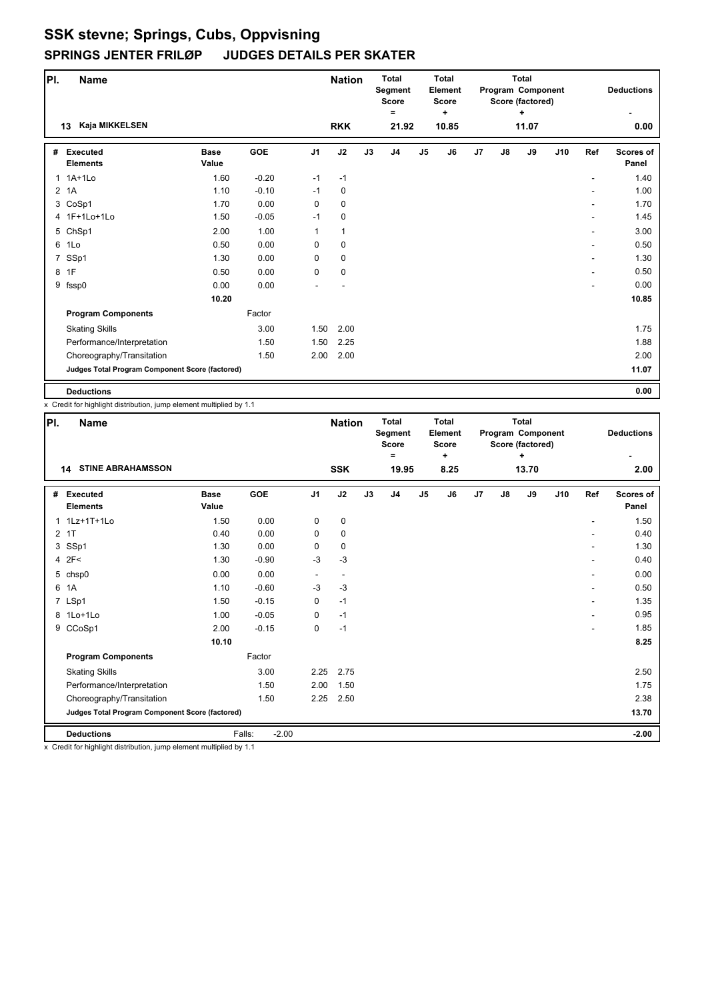| PI.            | <b>Name</b>                                     |                      |         |                | <b>Nation</b> |    | <b>Total</b><br>Segment<br><b>Score</b><br>Ξ |               | <b>Total</b><br>Element<br><b>Score</b><br>٠ |                |    | <b>Total</b><br>Program Component<br>Score (factored)<br>٠ |     |                          | <b>Deductions</b>         |
|----------------|-------------------------------------------------|----------------------|---------|----------------|---------------|----|----------------------------------------------|---------------|----------------------------------------------|----------------|----|------------------------------------------------------------|-----|--------------------------|---------------------------|
|                | Kaja MIKKELSEN<br>13                            |                      |         |                | <b>RKK</b>    |    | 21.92                                        |               | 10.85                                        |                |    | 11.07                                                      |     |                          | 0.00                      |
| #              | <b>Executed</b><br><b>Elements</b>              | <b>Base</b><br>Value | GOE     | J <sub>1</sub> | J2            | J3 | J <sub>4</sub>                               | $\mathsf{J}5$ | J6                                           | J <sub>7</sub> | J8 | J9                                                         | J10 | Ref                      | <b>Scores of</b><br>Panel |
| $\overline{1}$ | $1A+1L0$                                        | 1.60                 | $-0.20$ | $-1$           | $-1$          |    |                                              |               |                                              |                |    |                                                            |     |                          | 1.40                      |
|                | 2 1A                                            | 1.10                 | $-0.10$ | $-1$           | $\mathbf 0$   |    |                                              |               |                                              |                |    |                                                            |     |                          | 1.00                      |
|                | 3 CoSp1                                         | 1.70                 | 0.00    | 0              | 0             |    |                                              |               |                                              |                |    |                                                            |     | $\overline{\phantom{a}}$ | 1.70                      |
|                | 4 1F+1Lo+1Lo                                    | 1.50                 | $-0.05$ | $-1$           | 0             |    |                                              |               |                                              |                |    |                                                            |     |                          | 1.45                      |
|                | 5 ChSp1                                         | 2.00                 | 1.00    | 1              | 1             |    |                                              |               |                                              |                |    |                                                            |     | $\overline{\phantom{a}}$ | 3.00                      |
|                | 6 1Lo                                           | 0.50                 | 0.00    | 0              | 0             |    |                                              |               |                                              |                |    |                                                            |     | ٠                        | 0.50                      |
| $\overline{7}$ | SSp1                                            | 1.30                 | 0.00    | 0              | 0             |    |                                              |               |                                              |                |    |                                                            |     | $\overline{\phantom{a}}$ | 1.30                      |
|                | 8 1F                                            | 0.50                 | 0.00    | 0              | 0             |    |                                              |               |                                              |                |    |                                                            |     | ٠                        | 0.50                      |
| 9              | fssp0                                           | 0.00                 | 0.00    |                |               |    |                                              |               |                                              |                |    |                                                            |     |                          | 0.00                      |
|                |                                                 | 10.20                |         |                |               |    |                                              |               |                                              |                |    |                                                            |     |                          | 10.85                     |
|                | <b>Program Components</b>                       |                      | Factor  |                |               |    |                                              |               |                                              |                |    |                                                            |     |                          |                           |
|                | <b>Skating Skills</b>                           |                      | 3.00    | 1.50           | 2.00          |    |                                              |               |                                              |                |    |                                                            |     |                          | 1.75                      |
|                | Performance/Interpretation                      |                      | 1.50    | 1.50           | 2.25          |    |                                              |               |                                              |                |    |                                                            |     |                          | 1.88                      |
|                | Choreography/Transitation                       |                      | 1.50    | 2.00           | 2.00          |    |                                              |               |                                              |                |    |                                                            |     |                          | 2.00                      |
|                | Judges Total Program Component Score (factored) |                      |         |                |               |    |                                              |               |                                              |                |    |                                                            |     |                          | 11.07                     |
|                | <b>Deductions</b>                               |                      |         |                |               |    |                                              |               |                                              |                |    |                                                            |     |                          | 0.00                      |

x Credit for highlight distribution, jump element multiplied by 1.1

| PI. | <b>Name</b>                                     |                      |                   |                          | <b>Nation</b> |    | <b>Total</b><br>Segment<br><b>Score</b><br>= |                | <b>Total</b><br>Element<br><b>Score</b><br>٠ |    |               | <b>Total</b><br>Program Component<br>Score (factored)<br>٠ |     |     | <b>Deductions</b>         |
|-----|-------------------------------------------------|----------------------|-------------------|--------------------------|---------------|----|----------------------------------------------|----------------|----------------------------------------------|----|---------------|------------------------------------------------------------|-----|-----|---------------------------|
|     | <b>STINE ABRAHAMSSON</b><br>14                  |                      |                   |                          | <b>SSK</b>    |    | 19.95                                        |                | 8.25                                         |    |               | 13.70                                                      |     |     | 2.00                      |
| #   | Executed<br><b>Elements</b>                     | <b>Base</b><br>Value | <b>GOE</b>        | J <sub>1</sub>           | J2            | J3 | J <sub>4</sub>                               | J <sub>5</sub> | J6                                           | J7 | $\mathsf{J}8$ | J9                                                         | J10 | Ref | <b>Scores of</b><br>Panel |
|     | 1 1Lz+1T+1Lo                                    | 1.50                 | 0.00              | 0                        | 0             |    |                                              |                |                                              |    |               |                                                            |     |     | 1.50                      |
|     | 2 1T                                            | 0.40                 | 0.00              | 0                        | $\mathbf 0$   |    |                                              |                |                                              |    |               |                                                            |     |     | 0.40                      |
|     | 3 SSp1                                          | 1.30                 | 0.00              | 0                        | $\pmb{0}$     |    |                                              |                |                                              |    |               |                                                            |     |     | 1.30                      |
|     | 4 2F<                                           | 1.30                 | $-0.90$           | $-3$                     | $-3$          |    |                                              |                |                                              |    |               |                                                            |     |     | 0.40                      |
|     | 5 chsp0                                         | 0.00                 | 0.00              | $\overline{\phantom{a}}$ | ٠             |    |                                              |                |                                              |    |               |                                                            |     |     | 0.00                      |
|     | 6 1A                                            | 1.10                 | $-0.60$           | $-3$                     | $-3$          |    |                                              |                |                                              |    |               |                                                            |     |     | 0.50                      |
|     | 7 LSp1                                          | 1.50                 | $-0.15$           | 0                        | $-1$          |    |                                              |                |                                              |    |               |                                                            |     |     | 1.35                      |
|     | 8 1Lo+1Lo                                       | 1.00                 | $-0.05$           | 0                        | $-1$          |    |                                              |                |                                              |    |               |                                                            |     |     | 0.95                      |
|     | 9 CCoSp1                                        | 2.00                 | $-0.15$           | 0                        | $-1$          |    |                                              |                |                                              |    |               |                                                            |     |     | 1.85                      |
|     |                                                 | 10.10                |                   |                          |               |    |                                              |                |                                              |    |               |                                                            |     |     | 8.25                      |
|     | <b>Program Components</b>                       |                      | Factor            |                          |               |    |                                              |                |                                              |    |               |                                                            |     |     |                           |
|     | <b>Skating Skills</b>                           |                      | 3.00              | 2.25                     | 2.75          |    |                                              |                |                                              |    |               |                                                            |     |     | 2.50                      |
|     | Performance/Interpretation                      |                      | 1.50              | 2.00                     | 1.50          |    |                                              |                |                                              |    |               |                                                            |     |     | 1.75                      |
|     | Choreography/Transitation                       |                      | 1.50              | 2.25                     | 2.50          |    |                                              |                |                                              |    |               |                                                            |     |     | 2.38                      |
|     | Judges Total Program Component Score (factored) |                      |                   |                          |               |    |                                              |                |                                              |    |               |                                                            |     |     | 13.70                     |
|     | <b>Deductions</b>                               |                      | Falls:<br>$-2.00$ |                          |               |    |                                              |                |                                              |    |               |                                                            |     |     | $-2.00$                   |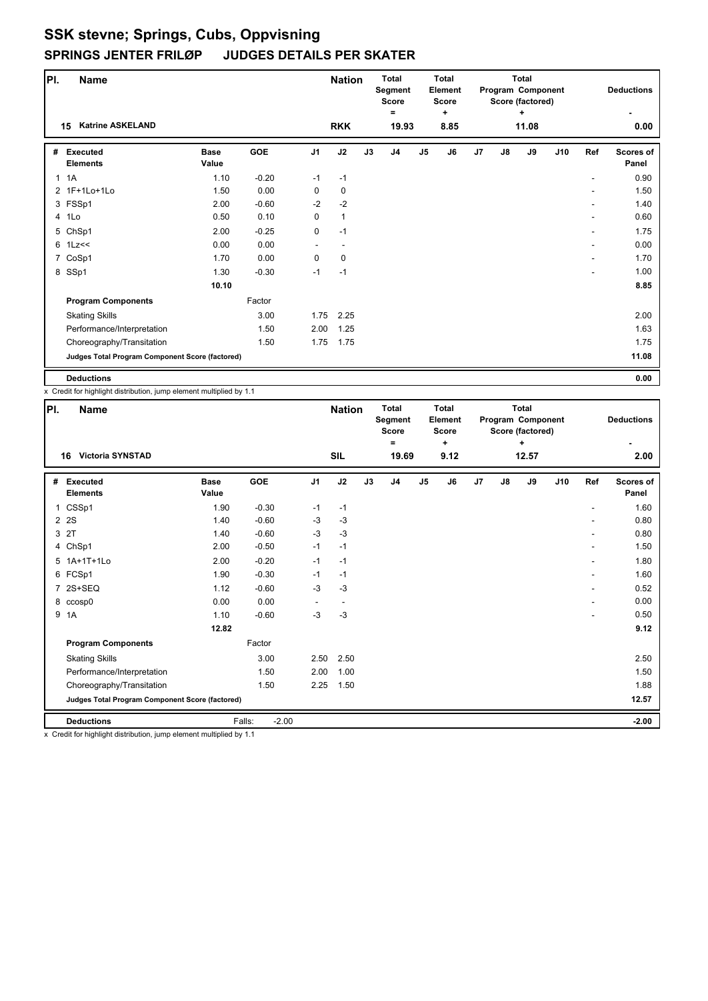| PI.          | <b>Name</b>                                     |                      |         |                | <b>Nation</b> |    | <b>Total</b><br>Segment<br><b>Score</b><br>Ξ |                | <b>Total</b><br><b>Element</b><br><b>Score</b><br>÷ |    |               | <b>Total</b><br>Program Component<br>Score (factored)<br>÷ |     |     | <b>Deductions</b>         |
|--------------|-------------------------------------------------|----------------------|---------|----------------|---------------|----|----------------------------------------------|----------------|-----------------------------------------------------|----|---------------|------------------------------------------------------------|-----|-----|---------------------------|
|              | <b>Katrine ASKELAND</b><br>15                   |                      |         |                | <b>RKK</b>    |    | 19.93                                        |                | 8.85                                                |    |               | 11.08                                                      |     |     | 0.00                      |
| #            | Executed<br><b>Elements</b>                     | <b>Base</b><br>Value | GOE     | J <sub>1</sub> | J2            | J3 | J4                                           | J <sub>5</sub> | J6                                                  | J7 | $\mathsf{J}8$ | J9                                                         | J10 | Ref | <b>Scores of</b><br>Panel |
| $\mathbf{1}$ | 1A                                              | 1.10                 | $-0.20$ | $-1$           | $-1$          |    |                                              |                |                                                     |    |               |                                                            |     |     | 0.90                      |
|              | 2 1F+1Lo+1Lo                                    | 1.50                 | 0.00    | 0              | 0             |    |                                              |                |                                                     |    |               |                                                            |     |     | 1.50                      |
|              | 3 FSSp1                                         | 2.00                 | $-0.60$ | $-2$           | $-2$          |    |                                              |                |                                                     |    |               |                                                            |     |     | 1.40                      |
|              | 4 1Lo                                           | 0.50                 | 0.10    | 0              | $\mathbf{1}$  |    |                                              |                |                                                     |    |               |                                                            |     | ٠   | 0.60                      |
|              | 5 ChSp1                                         | 2.00                 | $-0.25$ | 0              | $-1$          |    |                                              |                |                                                     |    |               |                                                            |     | ۰   | 1.75                      |
|              | $6$ 1 Lz $\leq$                                 | 0.00                 | 0.00    |                |               |    |                                              |                |                                                     |    |               |                                                            |     |     | 0.00                      |
|              | 7 CoSp1                                         | 1.70                 | 0.00    | 0              | $\mathbf 0$   |    |                                              |                |                                                     |    |               |                                                            |     | ۰   | 1.70                      |
|              | 8 SSp1                                          | 1.30                 | $-0.30$ | $-1$           | $-1$          |    |                                              |                |                                                     |    |               |                                                            |     | ۰   | 1.00                      |
|              |                                                 | 10.10                |         |                |               |    |                                              |                |                                                     |    |               |                                                            |     |     | 8.85                      |
|              | <b>Program Components</b>                       |                      | Factor  |                |               |    |                                              |                |                                                     |    |               |                                                            |     |     |                           |
|              | <b>Skating Skills</b>                           |                      | 3.00    | 1.75           | 2.25          |    |                                              |                |                                                     |    |               |                                                            |     |     | 2.00                      |
|              | Performance/Interpretation                      |                      | 1.50    | 2.00           | 1.25          |    |                                              |                |                                                     |    |               |                                                            |     |     | 1.63                      |
|              | Choreography/Transitation                       |                      | 1.50    | 1.75           | 1.75          |    |                                              |                |                                                     |    |               |                                                            |     |     | 1.75                      |
|              | Judges Total Program Component Score (factored) |                      |         |                |               |    |                                              |                |                                                     |    |               |                                                            |     |     | 11.08                     |
|              | <b>Deductions</b>                               |                      |         |                |               |    |                                              |                |                                                     |    |               |                                                            |     |     | 0.00                      |

x Credit for highlight distribution, jump element multiplied by 1.1

| PI. | <b>Name</b>                                                                                                                                                                                                                                         |                      |                   |                | <b>Nation</b> |    | <b>Total</b><br>Segment<br><b>Score</b><br>Ξ |    | <b>Total</b><br>Element<br><b>Score</b><br>٠ |    |               | <b>Total</b><br>Program Component<br>Score (factored)<br>÷ |     |                | <b>Deductions</b>         |
|-----|-----------------------------------------------------------------------------------------------------------------------------------------------------------------------------------------------------------------------------------------------------|----------------------|-------------------|----------------|---------------|----|----------------------------------------------|----|----------------------------------------------|----|---------------|------------------------------------------------------------|-----|----------------|---------------------------|
|     | <b>Victoria SYNSTAD</b><br>16                                                                                                                                                                                                                       |                      |                   |                | <b>SIL</b>    |    | 19.69                                        |    | 9.12                                         |    |               | 12.57                                                      |     |                | 2.00                      |
| #   | <b>Executed</b><br><b>Elements</b>                                                                                                                                                                                                                  | <b>Base</b><br>Value | <b>GOE</b>        | J <sub>1</sub> | J2            | J3 | J <sub>4</sub>                               | J5 | J6                                           | J7 | $\mathsf{J}8$ | J9                                                         | J10 | Ref            | <b>Scores of</b><br>Panel |
|     | 1 CSSp1                                                                                                                                                                                                                                             | 1.90                 | $-0.30$           | $-1$           | $-1$          |    |                                              |    |                                              |    |               |                                                            |     | ٠              | 1.60                      |
|     | 2 2 S                                                                                                                                                                                                                                               | 1.40                 | $-0.60$           | $-3$           | $-3$          |    |                                              |    |                                              |    |               |                                                            |     |                | 0.80                      |
|     | 3 2T                                                                                                                                                                                                                                                | 1.40                 | $-0.60$           | $-3$           | $-3$          |    |                                              |    |                                              |    |               |                                                            |     |                | 0.80                      |
|     | 4 ChSp1                                                                                                                                                                                                                                             | 2.00                 | $-0.50$           | $-1$           | $-1$          |    |                                              |    |                                              |    |               |                                                            |     |                | 1.50                      |
|     | 5 1A+1T+1Lo                                                                                                                                                                                                                                         | 2.00                 | $-0.20$           | $-1$           | $-1$          |    |                                              |    |                                              |    |               |                                                            |     | $\overline{a}$ | 1.80                      |
|     | 6 FCSp1                                                                                                                                                                                                                                             | 1.90                 | $-0.30$           | $-1$           | $-1$          |    |                                              |    |                                              |    |               |                                                            |     |                | 1.60                      |
|     | 7 2S+SEQ                                                                                                                                                                                                                                            | 1.12                 | $-0.60$           | $-3$           | $-3$          |    |                                              |    |                                              |    |               |                                                            |     | $\overline{a}$ | 0.52                      |
|     | 8 ccosp0                                                                                                                                                                                                                                            | 0.00                 | 0.00              |                |               |    |                                              |    |                                              |    |               |                                                            |     |                | 0.00                      |
| 9   | 1A                                                                                                                                                                                                                                                  | 1.10                 | $-0.60$           | $-3$           | $-3$          |    |                                              |    |                                              |    |               |                                                            |     |                | 0.50                      |
|     |                                                                                                                                                                                                                                                     | 12.82                |                   |                |               |    |                                              |    |                                              |    |               |                                                            |     |                | 9.12                      |
|     | <b>Program Components</b>                                                                                                                                                                                                                           |                      | Factor            |                |               |    |                                              |    |                                              |    |               |                                                            |     |                |                           |
|     | <b>Skating Skills</b>                                                                                                                                                                                                                               |                      | 3.00              | 2.50           | 2.50          |    |                                              |    |                                              |    |               |                                                            |     |                | 2.50                      |
|     | Performance/Interpretation                                                                                                                                                                                                                          |                      | 1.50              | 2.00           | 1.00          |    |                                              |    |                                              |    |               |                                                            |     |                | 1.50                      |
|     | Choreography/Transitation                                                                                                                                                                                                                           |                      | 1.50              | 2.25           | 1.50          |    |                                              |    |                                              |    |               |                                                            |     |                | 1.88                      |
|     | Judges Total Program Component Score (factored)                                                                                                                                                                                                     |                      |                   |                |               |    |                                              |    |                                              |    |               |                                                            |     |                | 12.57                     |
|     | <b>Deductions</b><br>Considering in the fight state of a subsequent and some company and social state of the state of the state of the state of the state of the state of the state of the state of the state of the state of the state of the stat |                      | Falls:<br>$-2.00$ |                |               |    |                                              |    |                                              |    |               |                                                            |     |                | $-2.00$                   |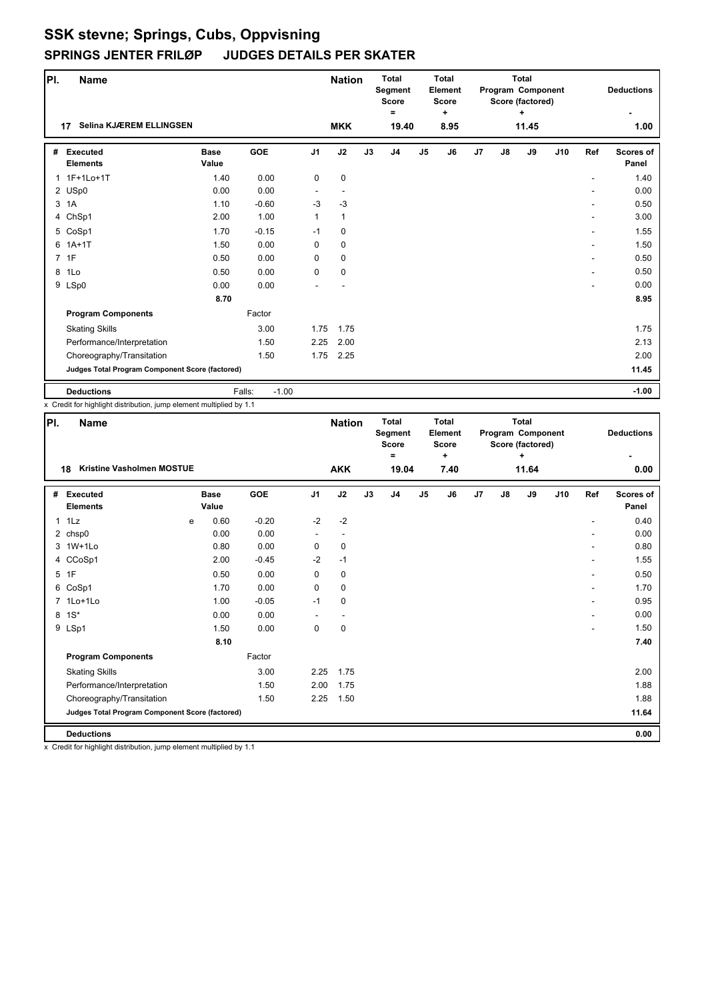| PI.          | Name                                            |                      |                   |                | <b>Nation</b> |    | <b>Total</b><br>Segment<br><b>Score</b><br>Ξ |                | <b>Total</b><br>Element<br><b>Score</b><br>٠ |                |    | <b>Total</b><br>Program Component<br>Score (factored)<br>۰. |     |     | <b>Deductions</b>         |
|--------------|-------------------------------------------------|----------------------|-------------------|----------------|---------------|----|----------------------------------------------|----------------|----------------------------------------------|----------------|----|-------------------------------------------------------------|-----|-----|---------------------------|
|              | Selina KJÆREM ELLINGSEN<br>17                   |                      |                   |                | <b>MKK</b>    |    | 19.40                                        |                | 8.95                                         |                |    | 11.45                                                       |     |     | 1.00                      |
| #            | <b>Executed</b><br><b>Elements</b>              | <b>Base</b><br>Value | <b>GOE</b>        | J <sub>1</sub> | J2            | J3 | J <sub>4</sub>                               | J <sub>5</sub> | J6                                           | J <sub>7</sub> | J8 | J9                                                          | J10 | Ref | <b>Scores of</b><br>Panel |
| $\mathbf{1}$ | 1F+1Lo+1T                                       | 1.40                 | 0.00              | 0              | $\mathbf 0$   |    |                                              |                |                                              |                |    |                                                             |     |     | 1.40                      |
|              | 2 USp0                                          | 0.00                 | 0.00              |                |               |    |                                              |                |                                              |                |    |                                                             |     |     | 0.00                      |
|              | 3 1A                                            | 1.10                 | $-0.60$           | $-3$           | $-3$          |    |                                              |                |                                              |                |    |                                                             |     |     | 0.50                      |
|              | 4 ChSp1                                         | 2.00                 | 1.00              | 1              | $\mathbf{1}$  |    |                                              |                |                                              |                |    |                                                             |     |     | 3.00                      |
|              | 5 CoSp1                                         | 1.70                 | $-0.15$           | $-1$           | $\mathbf 0$   |    |                                              |                |                                              |                |    |                                                             |     |     | 1.55                      |
|              | $6$ 1A+1T                                       | 1.50                 | 0.00              | 0              | $\mathbf 0$   |    |                                              |                |                                              |                |    |                                                             |     |     | 1.50                      |
|              | 7 1F                                            | 0.50                 | 0.00              | $\Omega$       | $\mathbf 0$   |    |                                              |                |                                              |                |    |                                                             |     |     | 0.50                      |
| 8            | 1Lo                                             | 0.50                 | 0.00              | 0              | 0             |    |                                              |                |                                              |                |    |                                                             |     |     | 0.50                      |
|              | 9 LSp0                                          | 0.00                 | 0.00              |                |               |    |                                              |                |                                              |                |    |                                                             |     |     | 0.00                      |
|              |                                                 | 8.70                 |                   |                |               |    |                                              |                |                                              |                |    |                                                             |     |     | 8.95                      |
|              | <b>Program Components</b>                       |                      | Factor            |                |               |    |                                              |                |                                              |                |    |                                                             |     |     |                           |
|              | <b>Skating Skills</b>                           |                      | 3.00              | 1.75           | 1.75          |    |                                              |                |                                              |                |    |                                                             |     |     | 1.75                      |
|              | Performance/Interpretation                      |                      | 1.50              | 2.25           | 2.00          |    |                                              |                |                                              |                |    |                                                             |     |     | 2.13                      |
|              | Choreography/Transitation                       |                      | 1.50              | 1.75           | 2.25          |    |                                              |                |                                              |                |    |                                                             |     |     | 2.00                      |
|              | Judges Total Program Component Score (factored) |                      |                   |                |               |    |                                              |                |                                              |                |    |                                                             |     |     | 11.45                     |
|              | <b>Deductions</b>                               |                      | Falls:<br>$-1.00$ |                |               |    |                                              |                |                                              |                |    |                                                             |     |     | $-1.00$                   |

x Credit for highlight distribution, jump element multiplied by 1.1

| PI. | Name                                                   |   |                      |         |                | <b>Nation</b> |    | <b>Total</b><br>Segment<br><b>Score</b><br>Ξ |                | <b>Total</b><br>Element<br><b>Score</b><br>٠ |    |               | <b>Total</b><br>Program Component<br>Score (factored)<br>÷ |     |     | <b>Deductions</b>  |
|-----|--------------------------------------------------------|---|----------------------|---------|----------------|---------------|----|----------------------------------------------|----------------|----------------------------------------------|----|---------------|------------------------------------------------------------|-----|-----|--------------------|
|     | <b>Kristine Vasholmen MOSTUE</b><br>18                 |   |                      |         |                | <b>AKK</b>    |    | 19.04                                        |                | 7.40                                         |    |               | 11.64                                                      |     |     | 0.00               |
| #   | <b>Executed</b><br><b>Elements</b>                     |   | <b>Base</b><br>Value | GOE     | J <sub>1</sub> | J2            | J3 | J <sub>4</sub>                               | J <sub>5</sub> | J6                                           | J7 | $\mathsf{J}8$ | J9                                                         | J10 | Ref | Scores of<br>Panel |
|     | 11Lz                                                   | e | 0.60                 | $-0.20$ | $-2$           | $-2$          |    |                                              |                |                                              |    |               |                                                            |     |     | 0.40               |
|     | 2 chsp0                                                |   | 0.00                 | 0.00    |                |               |    |                                              |                |                                              |    |               |                                                            |     |     | 0.00               |
|     | 3 1W+1Lo                                               |   | 0.80                 | 0.00    | 0              | 0             |    |                                              |                |                                              |    |               |                                                            |     | ٠   | 0.80               |
|     | 4 CCoSp1                                               |   | 2.00                 | $-0.45$ | $-2$           | $-1$          |    |                                              |                |                                              |    |               |                                                            |     | ٠   | 1.55               |
|     | 5 1F                                                   |   | 0.50                 | 0.00    | 0              | 0             |    |                                              |                |                                              |    |               |                                                            |     | ٠   | 0.50               |
|     | 6 CoSp1                                                |   | 1.70                 | 0.00    | 0              | 0             |    |                                              |                |                                              |    |               |                                                            |     |     | 1.70               |
|     | 7 1Lo+1Lo                                              |   | 1.00                 | $-0.05$ | $-1$           | 0             |    |                                              |                |                                              |    |               |                                                            |     |     | 0.95               |
|     | 8 1S*                                                  |   | 0.00                 | 0.00    |                |               |    |                                              |                |                                              |    |               |                                                            |     |     | 0.00               |
|     | 9 LSp1                                                 |   | 1.50                 | 0.00    | 0              | $\mathbf 0$   |    |                                              |                |                                              |    |               |                                                            |     |     | 1.50               |
|     |                                                        |   | 8.10                 |         |                |               |    |                                              |                |                                              |    |               |                                                            |     |     | 7.40               |
|     | <b>Program Components</b>                              |   |                      | Factor  |                |               |    |                                              |                |                                              |    |               |                                                            |     |     |                    |
|     | <b>Skating Skills</b>                                  |   |                      | 3.00    | 2.25           | 1.75          |    |                                              |                |                                              |    |               |                                                            |     |     | 2.00               |
|     | Performance/Interpretation                             |   |                      | 1.50    | 2.00           | 1.75          |    |                                              |                |                                              |    |               |                                                            |     |     | 1.88               |
|     | Choreography/Transitation                              |   |                      | 1.50    | 2.25           | 1.50          |    |                                              |                |                                              |    |               |                                                            |     |     | 1.88               |
|     | <b>Judges Total Program Component Score (factored)</b> |   |                      |         |                |               |    |                                              |                |                                              |    |               |                                                            |     |     | 11.64              |
|     | <b>Deductions</b>                                      |   |                      |         |                |               |    |                                              |                |                                              |    |               |                                                            |     |     | 0.00               |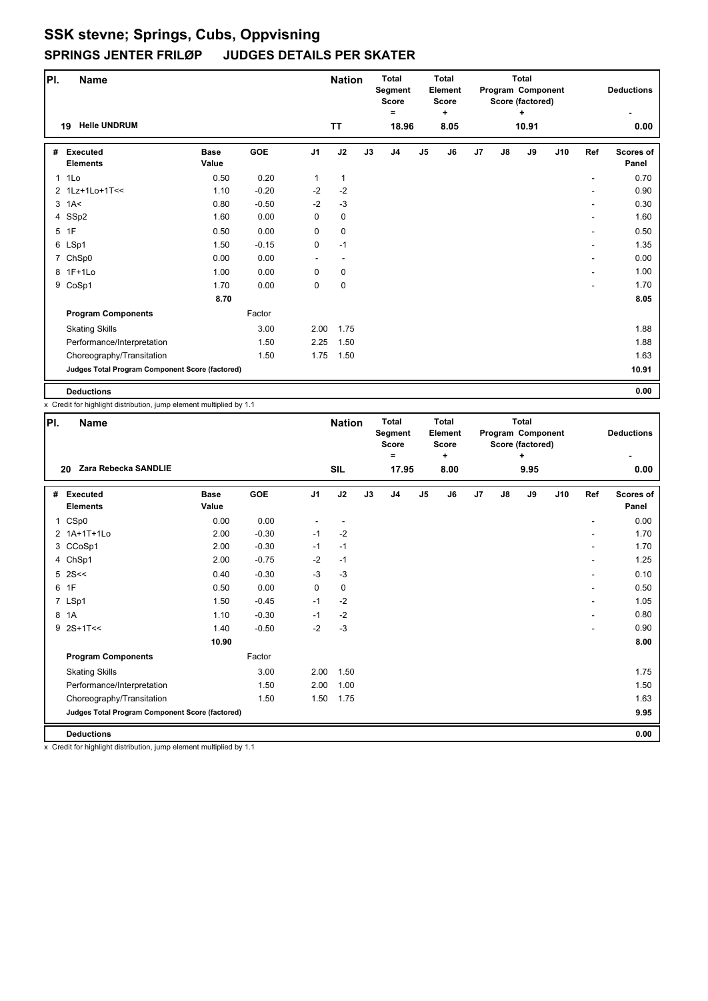| PI.          | <b>Name</b>                                     |                      |            |                | <b>Nation</b> |    | <b>Total</b><br>Segment<br><b>Score</b><br>Ξ |                | <b>Total</b><br>Element<br><b>Score</b><br>٠ |    |    | <b>Total</b><br>Program Component<br>Score (factored)<br>٠ |     |     | <b>Deductions</b>         |
|--------------|-------------------------------------------------|----------------------|------------|----------------|---------------|----|----------------------------------------------|----------------|----------------------------------------------|----|----|------------------------------------------------------------|-----|-----|---------------------------|
|              | <b>Helle UNDRUM</b><br>19                       |                      |            |                | <b>TT</b>     |    | 18.96                                        |                | 8.05                                         |    |    | 10.91                                                      |     |     | 0.00                      |
| #            | <b>Executed</b><br><b>Elements</b>              | <b>Base</b><br>Value | <b>GOE</b> | J <sub>1</sub> | J2            | J3 | J <sub>4</sub>                               | J <sub>5</sub> | J6                                           | J7 | J8 | J9                                                         | J10 | Ref | <b>Scores of</b><br>Panel |
| $\mathbf{1}$ | 1Lo                                             | 0.50                 | 0.20       | 1              | $\mathbf{1}$  |    |                                              |                |                                              |    |    |                                                            |     |     | 0.70                      |
|              | 2 1Lz+1Lo+1T<<                                  | 1.10                 | $-0.20$    | $-2$           | $-2$          |    |                                              |                |                                              |    |    |                                                            |     |     | 0.90                      |
|              | $3$ 1A<                                         | 0.80                 | $-0.50$    | $-2$           | $-3$          |    |                                              |                |                                              |    |    |                                                            |     |     | 0.30                      |
|              | 4 SSp2                                          | 1.60                 | 0.00       | 0              | 0             |    |                                              |                |                                              |    |    |                                                            |     |     | 1.60                      |
|              | 5 1F                                            | 0.50                 | 0.00       | 0              | $\mathbf 0$   |    |                                              |                |                                              |    |    |                                                            |     |     | 0.50                      |
|              | 6 LSp1                                          | 1.50                 | $-0.15$    | $\mathbf 0$    | $-1$          |    |                                              |                |                                              |    |    |                                                            |     |     | 1.35                      |
|              | 7 ChSp0                                         | 0.00                 | 0.00       | ٠              | ٠             |    |                                              |                |                                              |    |    |                                                            |     | ۰   | 0.00                      |
|              | 8 1F+1Lo                                        | 1.00                 | 0.00       | 0              | 0             |    |                                              |                |                                              |    |    |                                                            |     |     | 1.00                      |
|              | 9 CoSp1                                         | 1.70                 | 0.00       | $\mathbf 0$    | 0             |    |                                              |                |                                              |    |    |                                                            |     |     | 1.70                      |
|              |                                                 | 8.70                 |            |                |               |    |                                              |                |                                              |    |    |                                                            |     |     | 8.05                      |
|              | <b>Program Components</b>                       |                      | Factor     |                |               |    |                                              |                |                                              |    |    |                                                            |     |     |                           |
|              | <b>Skating Skills</b>                           |                      | 3.00       | 2.00           | 1.75          |    |                                              |                |                                              |    |    |                                                            |     |     | 1.88                      |
|              | Performance/Interpretation                      |                      | 1.50       | 2.25           | 1.50          |    |                                              |                |                                              |    |    |                                                            |     |     | 1.88                      |
|              | Choreography/Transitation                       |                      | 1.50       | 1.75           | 1.50          |    |                                              |                |                                              |    |    |                                                            |     |     | 1.63                      |
|              | Judges Total Program Component Score (factored) |                      |            |                |               |    |                                              |                |                                              |    |    |                                                            |     |     | 10.91                     |
|              | <b>Deductions</b>                               |                      |            |                |               |    |                                              |                |                                              |    |    |                                                            |     |     | 0.00                      |

x Credit for highlight distribution, jump element multiplied by 1.1

| PI. | <b>Name</b>                                     |                      |         |                | <b>Nation</b> |    | <b>Total</b><br>Segment<br><b>Score</b><br>Ξ |                | Total<br>Element<br><b>Score</b><br>٠ |    |               | <b>Total</b><br>Program Component<br>Score (factored)<br>٠ |     |                | <b>Deductions</b>         |
|-----|-------------------------------------------------|----------------------|---------|----------------|---------------|----|----------------------------------------------|----------------|---------------------------------------|----|---------------|------------------------------------------------------------|-----|----------------|---------------------------|
|     | Zara Rebecka SANDLIE<br>20                      |                      |         |                | <b>SIL</b>    |    | 17.95                                        |                | 8.00                                  |    |               | 9.95                                                       |     |                | 0.00                      |
| #   | <b>Executed</b><br><b>Elements</b>              | <b>Base</b><br>Value | GOE     | J <sub>1</sub> | J2            | J3 | J <sub>4</sub>                               | J <sub>5</sub> | J6                                    | J7 | $\mathsf{J}8$ | J9                                                         | J10 | Ref            | <b>Scores of</b><br>Panel |
|     | 1 CSp0                                          | 0.00                 | 0.00    |                |               |    |                                              |                |                                       |    |               |                                                            |     |                | 0.00                      |
|     | 2 1A+1T+1Lo                                     | 2.00                 | $-0.30$ | $-1$           | $-2$          |    |                                              |                |                                       |    |               |                                                            |     |                | 1.70                      |
|     | 3 CCoSp1                                        | 2.00                 | $-0.30$ | $-1$           | $-1$          |    |                                              |                |                                       |    |               |                                                            |     | ٠              | 1.70                      |
|     | 4 ChSp1                                         | 2.00                 | $-0.75$ | $-2$           | $-1$          |    |                                              |                |                                       |    |               |                                                            |     | $\overline{a}$ | 1.25                      |
|     | $5 \, 2S <$                                     | 0.40                 | $-0.30$ | $-3$           | $-3$          |    |                                              |                |                                       |    |               |                                                            |     | ٠              | 0.10                      |
|     | 6 1F                                            | 0.50                 | 0.00    | 0              | 0             |    |                                              |                |                                       |    |               |                                                            |     |                | 0.50                      |
|     | 7 LSp1                                          | 1.50                 | $-0.45$ | $-1$           | $-2$          |    |                                              |                |                                       |    |               |                                                            |     | ٠              | 1.05                      |
|     | 8 1A                                            | 1.10                 | $-0.30$ | $-1$           | $-2$          |    |                                              |                |                                       |    |               |                                                            |     |                | 0.80                      |
|     | $9$ 2S+1T<<                                     | 1.40                 | $-0.50$ | $-2$           | $-3$          |    |                                              |                |                                       |    |               |                                                            |     |                | 0.90                      |
|     |                                                 | 10.90                |         |                |               |    |                                              |                |                                       |    |               |                                                            |     |                | 8.00                      |
|     | <b>Program Components</b>                       |                      | Factor  |                |               |    |                                              |                |                                       |    |               |                                                            |     |                |                           |
|     | <b>Skating Skills</b>                           |                      | 3.00    | 2.00           | 1.50          |    |                                              |                |                                       |    |               |                                                            |     |                | 1.75                      |
|     | Performance/Interpretation                      |                      | 1.50    | 2.00           | 1.00          |    |                                              |                |                                       |    |               |                                                            |     |                | 1.50                      |
|     | Choreography/Transitation                       |                      | 1.50    | 1.50           | 1.75          |    |                                              |                |                                       |    |               |                                                            |     |                | 1.63                      |
|     | Judges Total Program Component Score (factored) |                      |         |                |               |    |                                              |                |                                       |    |               |                                                            |     |                | 9.95                      |
|     | <b>Deductions</b>                               |                      |         |                |               |    |                                              |                |                                       |    |               |                                                            |     |                | 0.00                      |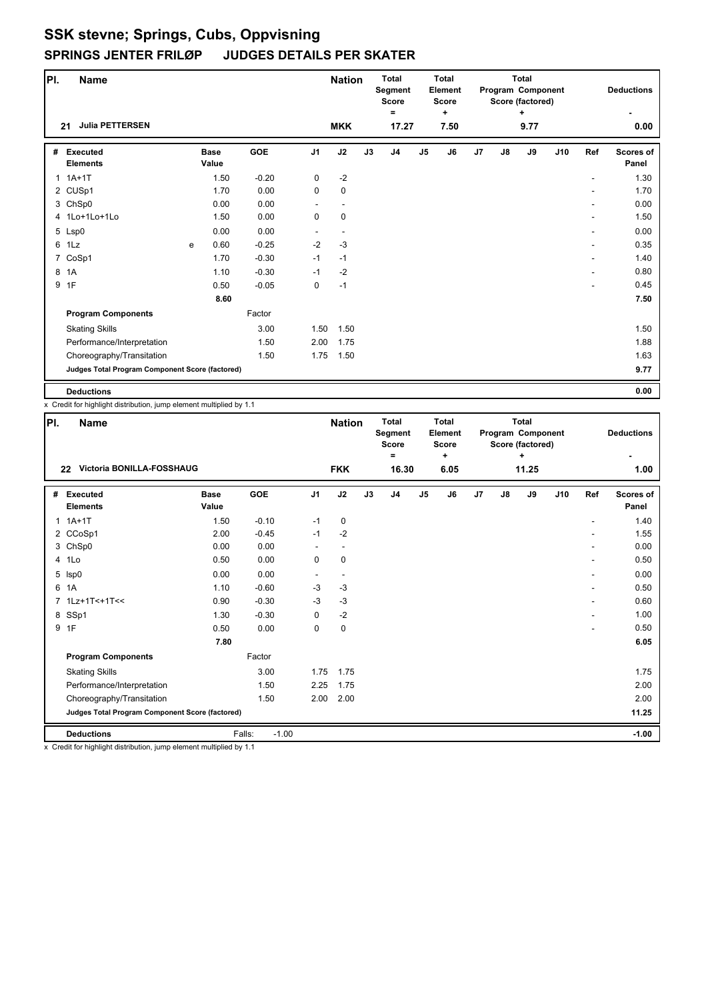| PI.          | <b>Name</b>                                     |   |                      |            |                | <b>Nation</b> |    | <b>Total</b><br>Segment<br><b>Score</b><br>Ξ |                | <b>Total</b><br>Element<br><b>Score</b><br>٠ |                |    | <b>Total</b><br>Program Component<br>Score (factored)<br>٠ |     |                              | <b>Deductions</b>  |
|--------------|-------------------------------------------------|---|----------------------|------------|----------------|---------------|----|----------------------------------------------|----------------|----------------------------------------------|----------------|----|------------------------------------------------------------|-----|------------------------------|--------------------|
|              | <b>Julia PETTERSEN</b><br>21                    |   |                      |            |                | <b>MKK</b>    |    | 17.27                                        |                | 7.50                                         |                |    | 9.77                                                       |     |                              | 0.00               |
| #            | <b>Executed</b><br><b>Elements</b>              |   | <b>Base</b><br>Value | <b>GOE</b> | J <sub>1</sub> | J2            | J3 | J <sub>4</sub>                               | J <sub>5</sub> | J6                                           | J <sub>7</sub> | J8 | J9                                                         | J10 | Ref                          | Scores of<br>Panel |
| $\mathbf{1}$ | $1A+1T$                                         |   | 1.50                 | $-0.20$    | 0              | $-2$          |    |                                              |                |                                              |                |    |                                                            |     | ۰                            | 1.30               |
|              | 2 CUSp1                                         |   | 1.70                 | 0.00       | 0              | 0             |    |                                              |                |                                              |                |    |                                                            |     |                              | 1.70               |
|              | 3 ChSp0                                         |   | 0.00                 | 0.00       |                | ۰             |    |                                              |                |                                              |                |    |                                                            |     | ۰                            | 0.00               |
|              | 4 1Lo+1Lo+1Lo                                   |   | 1.50                 | 0.00       | 0              | 0             |    |                                              |                |                                              |                |    |                                                            |     |                              | 1.50               |
|              | 5 Lsp0                                          |   | 0.00                 | 0.00       |                |               |    |                                              |                |                                              |                |    |                                                            |     | ۰                            | 0.00               |
|              | 6 1Lz                                           | e | 0.60                 | $-0.25$    | $-2$           | $-3$          |    |                                              |                |                                              |                |    |                                                            |     | $\qquad \qquad \blacksquare$ | 0.35               |
|              | 7 CoSp1                                         |   | 1.70                 | $-0.30$    | $-1$           | $-1$          |    |                                              |                |                                              |                |    |                                                            |     | $\qquad \qquad \blacksquare$ | 1.40               |
|              | 8 1A                                            |   | 1.10                 | $-0.30$    | $-1$           | $-2$          |    |                                              |                |                                              |                |    |                                                            |     |                              | 0.80               |
| 9            | 1F                                              |   | 0.50                 | $-0.05$    | 0              | $-1$          |    |                                              |                |                                              |                |    |                                                            |     |                              | 0.45               |
|              |                                                 |   | 8.60                 |            |                |               |    |                                              |                |                                              |                |    |                                                            |     |                              | 7.50               |
|              | <b>Program Components</b>                       |   |                      | Factor     |                |               |    |                                              |                |                                              |                |    |                                                            |     |                              |                    |
|              | <b>Skating Skills</b>                           |   |                      | 3.00       | 1.50           | 1.50          |    |                                              |                |                                              |                |    |                                                            |     |                              | 1.50               |
|              | Performance/Interpretation                      |   |                      | 1.50       | 2.00           | 1.75          |    |                                              |                |                                              |                |    |                                                            |     |                              | 1.88               |
|              | Choreography/Transitation                       |   |                      | 1.50       | 1.75           | 1.50          |    |                                              |                |                                              |                |    |                                                            |     |                              | 1.63               |
|              | Judges Total Program Component Score (factored) |   |                      |            |                |               |    |                                              |                |                                              |                |    |                                                            |     |                              | 9.77               |
|              | <b>Deductions</b>                               |   |                      |            |                |               |    |                                              |                |                                              |                |    |                                                            |     |                              | 0.00               |

x Credit for highlight distribution, jump element multiplied by 1.1

| PI. | <b>Name</b>                                     |                      |                   |                | <b>Nation</b> |    | <b>Total</b><br>Segment<br><b>Score</b><br>$\equiv$ |                | <b>Total</b><br>Element<br><b>Score</b><br>÷ |    |    | <b>Total</b><br>Program Component<br>Score (factored)<br>٠ |     |     | <b>Deductions</b>         |
|-----|-------------------------------------------------|----------------------|-------------------|----------------|---------------|----|-----------------------------------------------------|----------------|----------------------------------------------|----|----|------------------------------------------------------------|-----|-----|---------------------------|
|     | <b>Victoria BONILLA-FOSSHAUG</b><br>22          |                      |                   |                | <b>FKK</b>    |    | 16.30                                               |                | 6.05                                         |    |    | 11.25                                                      |     |     | 1.00                      |
| #   | <b>Executed</b><br><b>Elements</b>              | <b>Base</b><br>Value | GOE               | J <sub>1</sub> | J2            | J3 | J <sub>4</sub>                                      | J <sub>5</sub> | J6                                           | J7 | J8 | J9                                                         | J10 | Ref | <b>Scores of</b><br>Panel |
|     | $1.1A+1T$                                       | 1.50                 | $-0.10$           | $-1$           | 0             |    |                                                     |                |                                              |    |    |                                                            |     |     | 1.40                      |
|     | 2 CCoSp1                                        | 2.00                 | $-0.45$           | $-1$           | $-2$          |    |                                                     |                |                                              |    |    |                                                            |     |     | 1.55                      |
|     | 3 ChSp0                                         | 0.00                 | 0.00              |                | ٠             |    |                                                     |                |                                              |    |    |                                                            |     |     | 0.00                      |
|     | 4 1Lo                                           | 0.50                 | 0.00              | 0              | $\pmb{0}$     |    |                                                     |                |                                              |    |    |                                                            |     |     | 0.50                      |
|     | 5 Isp0                                          | 0.00                 | 0.00              | ٠              | ٠             |    |                                                     |                |                                              |    |    |                                                            |     |     | 0.00                      |
| 6   | 1A                                              | 1.10                 | $-0.60$           | $-3$           | $-3$          |    |                                                     |                |                                              |    |    |                                                            |     |     | 0.50                      |
|     | 7 1Lz+1T<+1T<<                                  | 0.90                 | $-0.30$           | $-3$           | $-3$          |    |                                                     |                |                                              |    |    |                                                            |     |     | 0.60                      |
|     | 8 SSp1                                          | 1.30                 | $-0.30$           | 0              | $-2$          |    |                                                     |                |                                              |    |    |                                                            |     |     | 1.00                      |
|     | 9 1F                                            | 0.50                 | 0.00              | 0              | $\pmb{0}$     |    |                                                     |                |                                              |    |    |                                                            |     |     | 0.50                      |
|     |                                                 | 7.80                 |                   |                |               |    |                                                     |                |                                              |    |    |                                                            |     |     | 6.05                      |
|     | <b>Program Components</b>                       |                      | Factor            |                |               |    |                                                     |                |                                              |    |    |                                                            |     |     |                           |
|     | <b>Skating Skills</b>                           |                      | 3.00              | 1.75           | 1.75          |    |                                                     |                |                                              |    |    |                                                            |     |     | 1.75                      |
|     | Performance/Interpretation                      |                      | 1.50              | 2.25           | 1.75          |    |                                                     |                |                                              |    |    |                                                            |     |     | 2.00                      |
|     | Choreography/Transitation                       |                      | 1.50              | 2.00           | 2.00          |    |                                                     |                |                                              |    |    |                                                            |     |     | 2.00                      |
|     | Judges Total Program Component Score (factored) |                      |                   |                |               |    |                                                     |                |                                              |    |    |                                                            |     |     | 11.25                     |
|     | <b>Deductions</b>                               |                      | Falls:<br>$-1.00$ |                |               |    |                                                     |                |                                              |    |    |                                                            |     |     | $-1.00$                   |